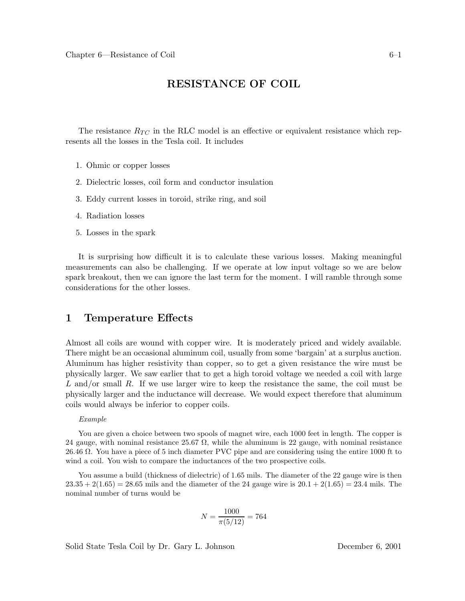# **RESISTANCE OF COIL**

The resistance  $R_{TC}$  in the RLC model is an effective or equivalent resistance which represents all the losses in the Tesla coil. It includes

- 1. Ohmic or copper losses
- 2. Dielectric losses, coil form and conductor insulation
- 3. Eddy current losses in toroid, strike ring, and soil
- 4. Radiation losses
- 5. Losses in the spark

It is surprising how difficult it is to calculate these various losses. Making meaningful measurements can also be challenging. If we operate at low input voltage so we are below spark breakout, then we can ignore the last term for the moment. I will ramble through some considerations for the other losses.

## **1 Temperature Effects**

Almost all coils are wound with copper wire. It is moderately priced and widely available. There might be an occasional aluminum coil, usually from some 'bargain' at a surplus auction. Aluminum has higher resistivity than copper, so to get a given resistance the wire must be physically larger. We saw earlier that to get a high toroid voltage we needed a coil with large L and/or small R. If we use larger wire to keep the resistance the same, the coil must be physically larger and the inductance will decrease. We would expect therefore that aluminum coils would always be inferior to copper coils.

#### *Example*

You are given a choice between two spools of magnet wire, each  $1000$  feet in length. The copper is 24 gauge, with nominal resistance 25.67  $\Omega$ , while the aluminum is 22 gauge, with nominal resistance 26.46 Ω. You have a piece of 5 inch diameter PVC pipe and are considering using the entire 1000 ft to wind a coil. You wish to compare the inductances of the two prospective coils.

You assume a build (thickness of dielectric) of 1.65 mils. The diameter of the 22 gauge wire is then  $23.35 + 2(1.65) = 28.65$  mils and the diameter of the 24 gauge wire is  $20.1 + 2(1.65) = 23.4$  mils. The nominal number of turns would be

$$
N = \frac{1000}{\pi (5/12)} = 764
$$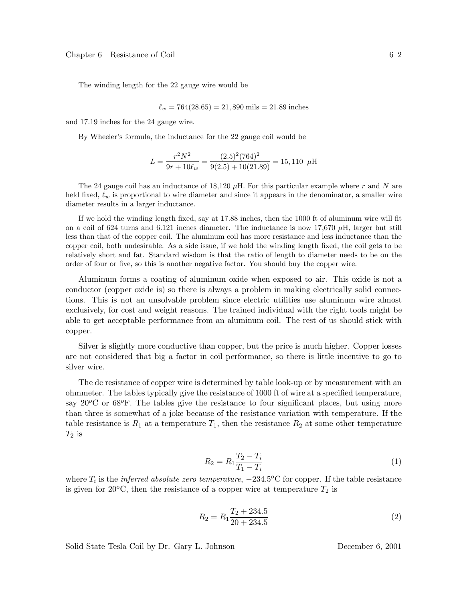The winding length for the 22 gauge wire would be

$$
\ell_w = 764(28.65) = 21,890 \text{ miles} = 21.89 \text{ inches}
$$

and 17.19 inches for the 24 gauge wire.

By Wheeler's formula, the inductance for the 22 gauge coil would be

$$
L = \frac{r^2 N^2}{9r + 10\ell_w} = \frac{(2.5)^2 (764)^2}{9(2.5) + 10(21.89)} = 15,110 \ \mu\text{H}
$$

The 24 gauge coil has an inductance of 18,120  $\mu$ H. For this particular example where r and N are held fixed,  $\ell_w$  is proportional to wire diameter and since it appears in the denominator, a smaller wire diameter results in a larger inductance.

If we hold the winding length fixed, say at 17.88 inches, then the 1000 ft of aluminum wire will fit on a coil of 624 turns and 6.121 inches diameter. The inductance is now 17,670  $\mu$ H, larger but still less than that of the copper coil. The aluminum coil has more resistance and less inductance than the copper coil, both undesirable. As a side issue, if we hold the winding length fixed, the coil gets to be relatively short and fat. Standard wisdom is that the ratio of length to diameter needs to be on the order of four or five, so this is another negative factor. You should buy the copper wire.

Aluminum forms a coating of aluminum oxide when exposed to air. This oxide is not a conductor (copper oxide is) so there is always a problem in making electrically solid connections. This is not an unsolvable problem since electric utilities use aluminum wire almost exclusively, for cost and weight reasons. The trained individual with the right tools might be able to get acceptable performance from an aluminum coil. The rest of us should stick with copper.

Silver is slightly more conductive than copper, but the price is much higher. Copper losses are not considered that big a factor in coil performance, so there is little incentive to go to silver wire.

The dc resistance of copper wire is determined by table look-up or by measurement with an ohmmeter. The tables typically give the resistance of 1000 ft of wire at a specified temperature, say  $20^{\circ}$ C or  $68^{\circ}$ F. The tables give the resistance to four significant places, but using more than three is somewhat of a joke because of the resistance variation with temperature. If the table resistance is  $R_1$  at a temperature  $T_1$ , then the resistance  $R_2$  at some other temperature  $T_2$  is

$$
R_2 = R_1 \frac{T_2 - T_i}{T_1 - T_i} \tag{1}
$$

where  $T_i$  is the *inferred absolute zero temperature*,  $-234.5^{\circ}\text{C}$  for copper. If the table resistance is given for 20<sup>o</sup>C, then the resistance of a copper wire at temperature  $T_2$  is

$$
R_2 = R_1 \frac{T_2 + 234.5}{20 + 234.5}
$$
 (2)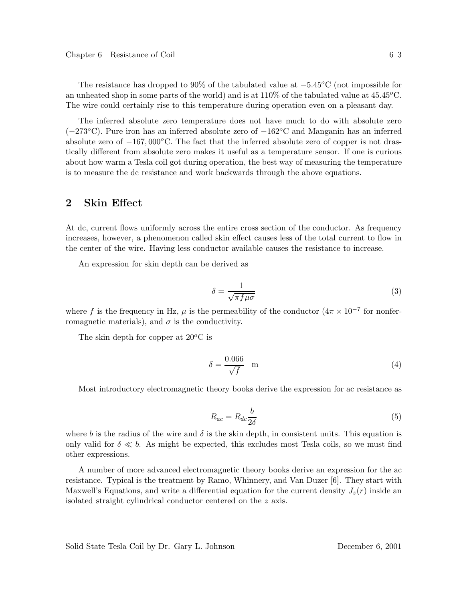The resistance has dropped to 90% of the tabulated value at  $-5.45^{\circ}$ C (not impossible for an unheated shop in some parts of the world) and is at  $110\%$  of the tabulated value at  $45.45^{\circ}$ C. The wire could certainly rise to this temperature during operation even on a pleasant day.

The inferred absolute zero temperature does not have much to do with absolute zero  $(-273^{\circ}C)$ . Pure iron has an inferred absolute zero of  $-162^{\circ}C$  and Manganin has an inferred absolute zero of  $-167,000^{\circ}$ C. The fact that the inferred absolute zero of copper is not drastically different from absolute zero makes it useful as a temperature sensor. If one is curious about how warm a Tesla coil got during operation, the best way of measuring the temperature is to measure the dc resistance and work backwards through the above equations.

## **2 Skin Effect**

At dc, current flows uniformly across the entire cross section of the conductor. As frequency increases, however, a phenomenon called skin effect causes less of the total current to flow in the center of the wire. Having less conductor available causes the resistance to increase.

An expression for skin depth can be derived as

$$
\delta = \frac{1}{\sqrt{\pi f \mu \sigma}}\tag{3}
$$

where f is the frequency in Hz,  $\mu$  is the permeability of the conductor  $(4\pi \times 10^{-7}$  for nonferromagnetic materials), and  $\sigma$  is the conductivity.

The skin depth for copper at  $20^{\circ}$ C is

$$
\delta = \frac{0.066}{\sqrt{f}} \quad \text{m} \tag{4}
$$

Most introductory electromagnetic theory books derive the expression for ac resistance as

$$
R_{ac} = R_{dc} \frac{b}{2\delta} \tag{5}
$$

where b is the radius of the wire and  $\delta$  is the skin depth, in consistent units. This equation is only valid for  $\delta \ll b$ . As might be expected, this excludes most Tesla coils, so we must find other expressions.

A number of more advanced electromagnetic theory books derive an expression for the ac resistance. Typical is the treatment by Ramo, Whinnery, and Van Duzer [6]. They start with Maxwell's Equations, and write a differential equation for the current density  $J_z(r)$  inside an isolated straight cylindrical conductor centered on the z axis.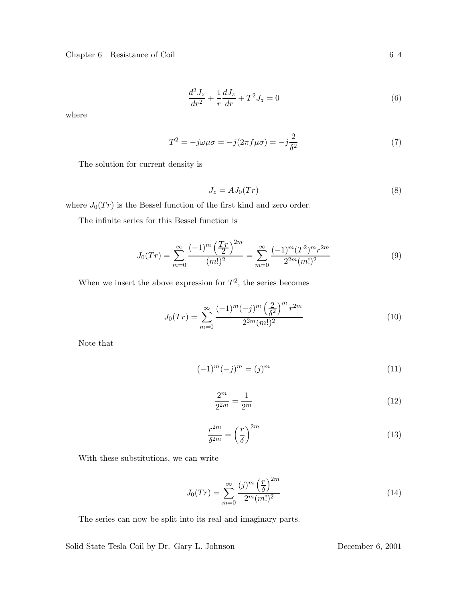Chapter 6—Resistance of Coil 6–4

$$
\frac{d^2J_z}{dr^2} + \frac{1}{r}\frac{dJ_z}{dr} + T^2J_z = 0
$$
\n(6)

where

$$
T^{2} = -j\omega\mu\sigma = -j(2\pi f\mu\sigma) = -j\frac{2}{\delta^{2}}
$$
\n(7)

The solution for current density is

$$
J_z = AJ_0(Tr) \tag{8}
$$

where  $J_0(Tr)$  is the Bessel function of the first kind and zero order.

The infinite series for this Bessel function is

$$
J_0(Tr) = \sum_{m=0}^{\infty} \frac{(-1)^m \left(\frac{Tr}{2}\right)^{2m}}{(m!)^2} = \sum_{m=0}^{\infty} \frac{(-1)^m (T^2)^m r^{2m}}{2^{2m} (m!)^2}
$$
(9)

When we insert the above expression for  $T^2$ , the series becomes

$$
J_0(Tr) = \sum_{m=0}^{\infty} \frac{(-1)^m (-j)^m \left(\frac{2}{\delta^2}\right)^m r^{2m}}{2^{2m} (m!)^2}
$$
(10)

Note that

$$
(-1)^m(-j)^m = (j)^m \tag{11}
$$

$$
\frac{2^m}{2^{2m}} = \frac{1}{2^m} \tag{12}
$$

$$
\frac{r^{2m}}{\delta^{2m}} = \left(\frac{r}{\delta}\right)^{2m} \tag{13}
$$

With these substitutions, we can write

$$
J_0(Tr) = \sum_{m=0}^{\infty} \frac{(j)^m \left(\frac{r}{\delta}\right)^{2m}}{2^m (m!)^2}
$$
 (14)

The series can now be split into its real and imaginary parts.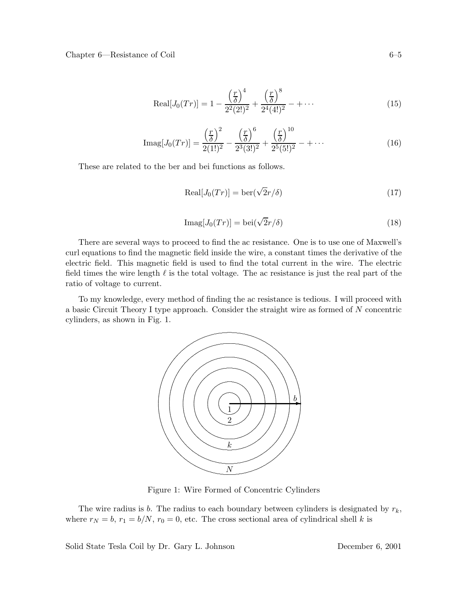Chapter 6—Resistance of Coil

$$
\text{Real}[J_0(Tr)] = 1 - \frac{\left(\frac{r}{\delta}\right)^4}{2^2(2!)^2} + \frac{\left(\frac{r}{\delta}\right)^8}{2^4(4!)^2} - + \cdots \tag{15}
$$

$$
\text{Imag}[J_0(Tr)] = \frac{\left(\frac{r}{\delta}\right)^2}{2(1!)^2} - \frac{\left(\frac{r}{\delta}\right)^6}{2^3(3!)^2} + \frac{\left(\frac{r}{\delta}\right)^{10}}{2^5(5!)^2} - + \cdots
$$
\n(16)

These are related to the ber and bei functions as follows.

$$
\text{Real}[J_0(Tr)] = \text{ber}(\sqrt{2}r/\delta) \tag{17}
$$

$$
\text{Imag}[J_0(Tr)] = \text{bei}(\sqrt{2}r/\delta) \tag{18}
$$

There are several ways to proceed to find the ac resistance. One is to use one of Maxwell's curl equations to find the magnetic field inside the wire, a constant times the derivative of the electric field. This magnetic field is used to find the total current in the wire. The electric field times the wire length  $\ell$  is the total voltage. The ac resistance is just the real part of the ratio of voltage to current.

To my knowledge, every method of finding the ac resistance is tedious. I will proceed with a basic Circuit Theory I type approach. Consider the straight wire as formed of  $N$  concentric cylinders, as shown in Fig. 1.



Figure 1: Wire Formed of Concentric Cylinders

The wire radius is b. The radius to each boundary between cylinders is designated by  $r_k$ , where  $r_N = b$ ,  $r_1 = b/N$ ,  $r_0 = 0$ , etc. The cross sectional area of cylindrical shell k is

Solid State Tesla Coil by Dr. Gary L. Johnson

December  $6, 2001$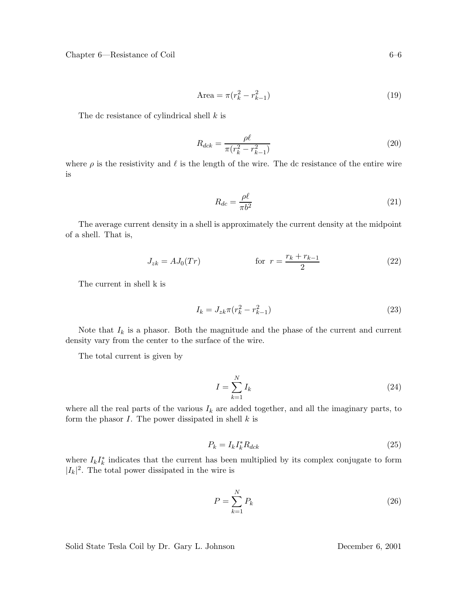Chapter 6—Resistance of Coil 6–6

Area = 
$$
\pi (r_k^2 - r_{k-1}^2)
$$
 (19)

The dc resistance of cylindrical shell k is

$$
R_{dck} = \frac{\rho \ell}{\pi (r_k^2 - r_{k-1}^2)}
$$
\n(20)

where  $\rho$  is the resistivity and  $\ell$  is the length of the wire. The dc resistance of the entire wire is

$$
R_{dc} = \frac{\rho \ell}{\pi b^2} \tag{21}
$$

The average current density in a shell is approximately the current density at the midpoint of a shell. That is,

$$
J_{zk} = AJ_0(Tr) \t\t for \t\t r = \frac{r_k + r_{k-1}}{2} \t\t (22)
$$

The current in shell k is

$$
I_k = J_{zk} \pi (r_k^2 - r_{k-1}^2)
$$
\n(23)

Note that  $I_k$  is a phasor. Both the magnitude and the phase of the current and current density vary from the center to the surface of the wire.

The total current is given by

$$
I = \sum_{k=1}^{N} I_k \tag{24}
$$

where all the real parts of the various  $I_k$  are added together, and all the imaginary parts, to form the phasor  $I$ . The power dissipated in shell  $k$  is

$$
P_k = I_k I_k^* R_{dck} \tag{25}
$$

where  $I_k I_k^*$  indicates that the current has been multiplied by its complex conjugate to form  $|I_k|^2$ . The total power dissipated in the wire is

$$
P = \sum_{k=1}^{N} P_k \tag{26}
$$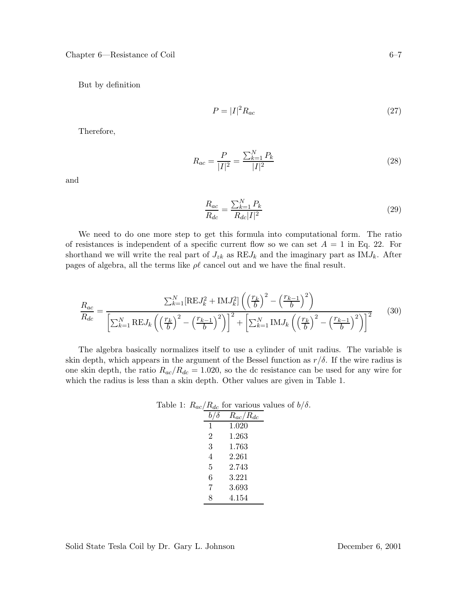But by definition

$$
P = |I|^2 R_{ac} \tag{27}
$$

Therefore,

$$
R_{ac} = \frac{P}{|I|^2} = \frac{\sum_{k=1}^{N} P_k}{|I|^2}
$$
\n(28)

and

$$
\frac{R_{ac}}{R_{dc}} = \frac{\sum_{k=1}^{N} P_k}{R_{dc} |I|^2}
$$
\n(29)

We need to do one more step to get this formula into computational form. The ratio of resistances is independent of a specific current flow so we can set  $A = 1$  in Eq. 22. For shorthand we will write the real part of  $J_{zk}$  as  $REJ_k$  and the imaginary part as IM $J_k$ . After pages of algebra, all the terms like  $\rho\ell$  cancel out and we have the final result.

$$
\frac{R_{ac}}{R_{dc}} = \frac{\sum_{k=1}^{N} [\text{RE}J_k^2 + \text{IM}J_k^2] \left( \left(\frac{r_k}{b}\right)^2 - \left(\frac{r_{k-1}}{b}\right)^2 \right)}{\left[\sum_{k=1}^{N} \text{RE}J_k \left( \left(\frac{r_k}{b}\right)^2 - \left(\frac{r_{k-1}}{b}\right)^2 \right)\right]^2 + \left[\sum_{k=1}^{N} \text{IM}J_k \left( \left(\frac{r_k}{b}\right)^2 - \left(\frac{r_{k-1}}{b}\right)^2 \right)\right]^2}
$$
(30)

The algebra basically normalizes itself to use a cylinder of unit radius. The variable is skin depth, which appears in the argument of the Bessel function as  $r/\delta$ . If the wire radius is one skin depth, the ratio  $R_{ac}/R_{dc} = 1.020$ , so the dc resistance can be used for any wire for which the radius is less than a skin depth. Other values are given in Table 1.

|   | able 1: $R_{ac}/R_{dc}$ for various values of $b/\delta$ . |  |
|---|------------------------------------------------------------|--|
|   | $R_{ac}/R_{dc}$                                            |  |
| 1 | 1.020                                                      |  |
| 2 | 1.263                                                      |  |
| 3 | 1.763                                                      |  |
| 4 | 2.261                                                      |  |
| 5 | 2.743                                                      |  |
| 6 | 3.221                                                      |  |
| 7 | 3.693                                                      |  |
| 8 | 4.154                                                      |  |

Table 1:  $R_{ac}/R_{dc}$  for various values of  $b/\delta$ .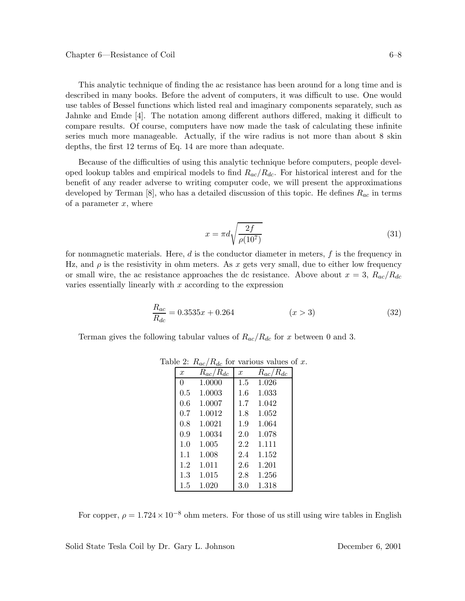This analytic technique of finding the ac resistance has been around for a long time and is described in many books. Before the advent of computers, it was difficult to use. One would use tables of Bessel functions which listed real and imaginary components separately, such as Jahnke and Emde [4]. The notation among different authors differed, making it difficult to compare results. Of course, computers have now made the task of calculating these infinite series much more manageable. Actually, if the wire radius is not more than about 8 skin depths, the first 12 terms of Eq. 14 are more than adequate.

Because of the difficulties of using this analytic technique before computers, people developed lookup tables and empirical models to find  $R_{ac}/R_{dc}$ . For historical interest and for the benefit of any reader adverse to writing computer code, we will present the approximations developed by Terman [8], who has a detailed discussion of this topic. He defines  $R_{ac}$  in terms of a parameter  $x$ , where

$$
x = \pi d \sqrt{\frac{2f}{\rho(10^7)}}
$$
\n(31)

for nonmagnetic materials. Here,  $d$  is the conductor diameter in meters,  $f$  is the frequency in Hz, and  $\rho$  is the resistivity in ohm meters. As x gets very small, due to either low frequency or small wire, the ac resistance approaches the dc resistance. Above about  $x = 3$ ,  $R_{ac}/R_{dc}$ varies essentially linearly with  $x$  according to the expression

$$
\frac{R_{ac}}{R_{dc}} = 0.3535x + 0.264 \qquad (x > 3)
$$
\n(32)

Terman gives the following tabular values of  $R_{ac}/R_{dc}$  for x between 0 and 3.

| $\boldsymbol{x}$ | $R_{ac}/R_{dc}$ | $\boldsymbol{x}$ | $R_{ac}/R_{dc}$ |
|------------------|-----------------|------------------|-----------------|
| $\Omega$         | 1.0000          | $1.5\,$          | 1.026           |
| 0.5              | 1.0003          | $1.6\,$          | 1.033           |
| 0.6              | 1.0007          | $1.7\,$          | 1.042           |
| $0.7^{\circ}$    | 1.0012          | 1.8              | 1.052           |
| 0.8              | 1.0021          | 1.9              | 1.064           |
| 0.9              | 1.0034          | 2.0              | 1.078           |
| 1.0              | 1.005           | 2.2              | 1.111           |
| 1.1              | 1.008           | 2.4              | 1.152           |
| $1.2\,$          | 1.011           | 2.6              | 1.201           |
| $1.3^{\circ}$    | 1.015           | 2.8              | 1.256           |
| 1.5              | 1.020           | $3.0\,$          | 1.318           |

Table 2:  $R_{ac}/R_{dc}$  for various values of x.

For copper,  $\rho = 1.724 \times 10^{-8}$  ohm meters. For those of us still using wire tables in English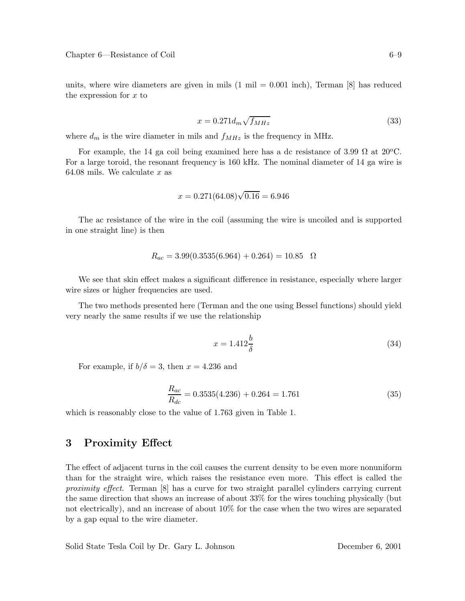units, where wire diameters are given in mils  $(1 \text{ mil} = 0.001 \text{ inch})$ , Terman  $[8]$  has reduced the expression for  $x$  to

$$
x = 0.271d_m\sqrt{f_{MHz}}\tag{33}
$$

where  $d_m$  is the wire diameter in mils and  $f_{MHz}$  is the frequency in MHz.

For example, the 14 ga coil being examined here has a dc resistance of 3.99  $\Omega$  at 20<sup>o</sup>C. For a large toroid, the resonant frequency is 160 kHz. The nominal diameter of 14 ga wire is 64.08 mils. We calculate  $x$  as

$$
x = 0.271(64.08)\sqrt{0.16} = 6.946
$$

The ac resistance of the wire in the coil (assuming the wire is uncoiled and is supported in one straight line) is then

$$
R_{ac} = 3.99(0.3535(6.964) + 0.264) = 10.85 \quad \Omega
$$

We see that skin effect makes a significant difference in resistance, especially where larger wire sizes or higher frequencies are used.

The two methods presented here (Terman and the one using Bessel functions) should yield very nearly the same results if we use the relationship

$$
x = 1.412 \frac{b}{\delta} \tag{34}
$$

For example, if  $b/\delta = 3$ , then  $x = 4.236$  and

$$
\frac{R_{ac}}{R_{dc}} = 0.3535(4.236) + 0.264 = 1.761
$$
\n(35)

which is reasonably close to the value of 1.763 given in Table 1.

# **3 Proximity Effect**

The effect of adjacent turns in the coil causes the current density to be even more nonuniform than for the straight wire, which raises the resistance even more. This effect is called the *proximity effect*. Terman [8] has a curve for two straight parallel cylinders carrying current the same direction that shows an increase of about 33% for the wires touching physically (but not electrically), and an increase of about 10% for the case when the two wires are separated by a gap equal to the wire diameter.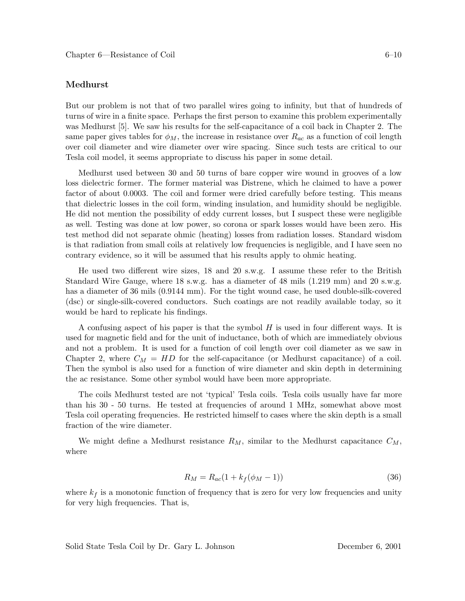### **Medhurst**

But our problem is not that of two parallel wires going to infinity, but that of hundreds of turns of wire in a finite space. Perhaps the first person to examine this problem experimentally was Medhurst [5]. We saw his results for the self-capacitance of a coil back in Chapter 2. The same paper gives tables for  $\phi_M$ , the increase in resistance over  $R_{ac}$  as a function of coil length over coil diameter and wire diameter over wire spacing. Since such tests are critical to our Tesla coil model, it seems appropriate to discuss his paper in some detail.

Medhurst used between 30 and 50 turns of bare copper wire wound in grooves of a low loss dielectric former. The former material was Distrene, which he claimed to have a power factor of about 0.0003. The coil and former were dried carefully before testing. This means that dielectric losses in the coil form, winding insulation, and humidity should be negligible. He did not mention the possibility of eddy current losses, but I suspect these were negligible as well. Testing was done at low power, so corona or spark losses would have been zero. His test method did not separate ohmic (heating) losses from radiation losses. Standard wisdom is that radiation from small coils at relatively low frequencies is negligible, and I have seen no contrary evidence, so it will be assumed that his results apply to ohmic heating.

He used two different wire sizes, 18 and 20 s.w.g. I assume these refer to the British Standard Wire Gauge, where 18 s.w.g. has a diameter of 48 mils (1.219 mm) and 20 s.w.g. has a diameter of 36 mils (0.9144 mm). For the tight wound case, he used double-silk-covered (dsc) or single-silk-covered conductors. Such coatings are not readily available today, so it would be hard to replicate his findings.

A confusing aspect of his paper is that the symbol H is used in four different ways. It is used for magnetic field and for the unit of inductance, both of which are immediately obvious and not a problem. It is used for a function of coil length over coil diameter as we saw in Chapter 2, where  $C_M = HD$  for the self-capacitance (or Medhurst capacitance) of a coil. Then the symbol is also used for a function of wire diameter and skin depth in determining the ac resistance. Some other symbol would have been more appropriate.

The coils Medhurst tested are not 'typical' Tesla coils. Tesla coils usually have far more than his 30 - 50 turns. He tested at frequencies of around 1 MHz, somewhat above most Tesla coil operating frequencies. He restricted himself to cases where the skin depth is a small fraction of the wire diameter.

We might define a Medhurst resistance  $R_M$ , similar to the Medhurst capacitance  $C_M$ , where

$$
R_M = R_{ac}(1 + k_f(\phi_M - 1))
$$
\n(36)

where  $k_f$  is a monotonic function of frequency that is zero for very low frequencies and unity for very high frequencies. That is,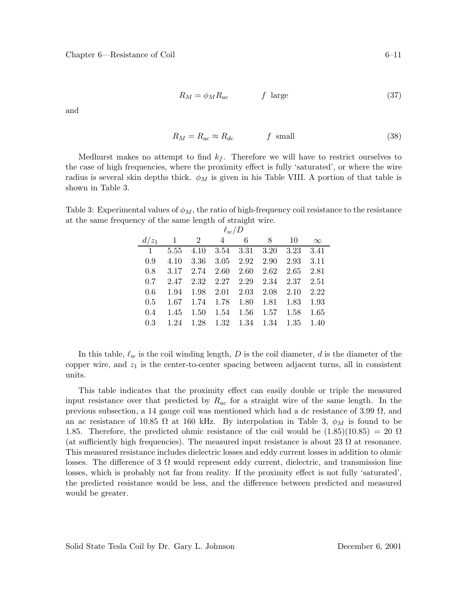$$
R_M = \phi_M R_{ac} \qquad f \text{ large} \tag{37}
$$

and

$$
R_M = R_{ac} \approx R_{dc} \qquad f \text{ small} \tag{38}
$$

Medhurst makes no attempt to find  $k_f$ . Therefore we will have to restrict ourselves to the case of high frequencies, where the proximity effect is fully 'saturated', or where the wire radius is several skin depths thick.  $\phi_M$  is given in his Table VIII. A portion of that table is shown in Table 3.

Table 3: Experimental values of  $\phi_M$ , the ratio of high-frequency coil resistance to the resistance at the same frequency of the same length of straight wire.

| $\ell_w/D$     |      |                          |                              |                 |                     |           |          |  |  |  |
|----------------|------|--------------------------|------------------------------|-----------------|---------------------|-----------|----------|--|--|--|
|                |      | $d/z_1$ 1 2              | $\overline{4}$               | $6\phantom{.0}$ | 8                   | 10        | $\infty$ |  |  |  |
| $\overline{1}$ |      | 5.55 4.10 3.54 3.31 3.20 |                              |                 |                     | 3.23      | 3.41     |  |  |  |
| 0.9            | 4.10 | 3.36                     |                              | 3.05 2.92 2.90  |                     | 2.93      | 3.11     |  |  |  |
| 0.8            | 3.17 | 2.74                     | 2.60                         | 2.60            | 2.62                | 2.65      | 2.81     |  |  |  |
| 0.7            | 2.47 |                          | $2.32 \quad 2.27 \quad 2.29$ |                 | 2.34 2.37           |           | 2.51     |  |  |  |
| 0.6            | 1.94 |                          | $1.98$ $2.01$ $2.03$         |                 | $2.08$ 2.10         |           | 2.22     |  |  |  |
| 0.5            | 1.67 |                          | 1.74 1.78 1.80               |                 |                     | 1.81 1.83 | 1.93     |  |  |  |
| 0.4            | 1.45 |                          |                              | 1.50 1.54 1.56  | 1.57                | 1.58      | 1.65     |  |  |  |
| 0.3            | 1.24 |                          |                              |                 | 1.28 1.32 1.34 1.34 | 1.35      | 1.40     |  |  |  |

In this table,  $\ell_w$  is the coil winding length, D is the coil diameter, d is the diameter of the copper wire, and  $z_1$  is the center-to-center spacing between adjacent turns, all in consistent units.

This table indicates that the proximity effect can easily double or triple the measured input resistance over that predicted by  $R_{ac}$  for a straight wire of the same length. In the previous subsection, a 14 gauge coil was mentioned which had a dc resistance of 3.99  $\Omega$ , and an ac resistance of 10.85  $\Omega$  at 160 kHz. By interpolation in Table 3,  $\phi_M$  is found to be 1.85. Therefore, the predicted ohmic resistance of the coil would be  $(1.85)(10.85) = 20 \Omega$ (at sufficiently high frequencies). The measured input resistance is about 23  $\Omega$  at resonance. This measured resistance includes dielectric losses and eddy current losses in addition to ohmic losses. The difference of 3  $\Omega$  would represent eddy current, dielectric, and transmission line losses, which is probably not far from reality. If the proximity effect is not fully 'saturated', the predicted resistance would be less, and the difference between predicted and measured would be greater.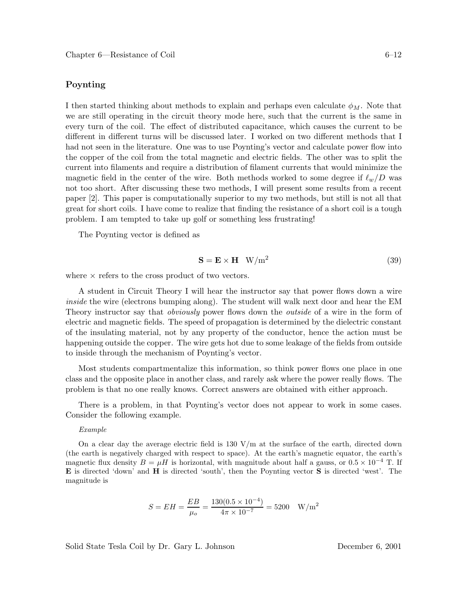### **Poynting**

I then started thinking about methods to explain and perhaps even calculate  $\phi_M$ . Note that we are still operating in the circuit theory mode here, such that the current is the same in every turn of the coil. The effect of distributed capacitance, which causes the current to be different in different turns will be discussed later. I worked on two different methods that I had not seen in the literature. One was to use Poynting's vector and calculate power flow into the copper of the coil from the total magnetic and electric fields. The other was to split the current into filaments and require a distribution of filament currents that would minimize the magnetic field in the center of the wire. Both methods worked to some degree if  $\ell_w/D$  was not too short. After discussing these two methods, I will present some results from a recent paper [2]. This paper is computationally superior to my two methods, but still is not all that great for short coils. I have come to realize that finding the resistance of a short coil is a tough problem. I am tempted to take up golf or something less frustrating!

The Poynting vector is defined as

$$
\mathbf{S} = \mathbf{E} \times \mathbf{H} \quad \text{W/m}^2 \tag{39}
$$

where  $\times$  refers to the cross product of two vectors.

A student in Circuit Theory I will hear the instructor say that power flows down a wire *inside* the wire (electrons bumping along). The student will walk next door and hear the EM Theory instructor say that *obviously* power flows down the *outside* of a wire in the form of electric and magnetic fields. The speed of propagation is determined by the dielectric constant of the insulating material, not by any property of the conductor, hence the action must be happening outside the copper. The wire gets hot due to some leakage of the fields from outside to inside through the mechanism of Poynting's vector.

Most students compartmentalize this information, so think power flows one place in one class and the opposite place in another class, and rarely ask where the power really flows. The problem is that no one really knows. Correct answers are obtained with either approach.

There is a problem, in that Poynting's vector does not appear to work in some cases. Consider the following example.

#### *Example*

On a clear day the average electric field is  $130 \text{ V/m}$  at the surface of the earth, directed down (the earth is negatively charged with respect to space). At the earth's magnetic equator, the earth's magnetic flux density  $B = \mu H$  is horizontal, with magnitude about half a gauss, or  $0.5 \times 10^{-4}$  T. If **E** is directed 'down' and **H** is directed 'south', then the Poynting vector **S** is directed 'west'. The magnitude is

$$
S = EH = \frac{EB}{\mu_o} = \frac{130(0.5 \times 10^{-4})}{4\pi \times 10^{-7}} = 5200 \text{ W/m}^2
$$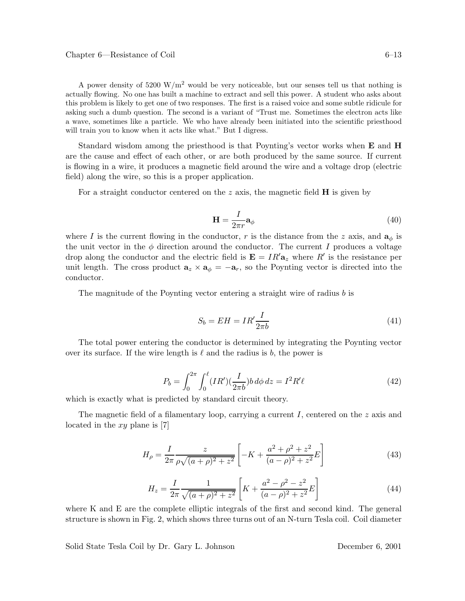A power density of 5200 W/m<sup>2</sup> would be very noticeable, but our senses tell us that nothing is actually flowing. No one has built a machine to extract and sell this power. A student who asks about this problem is likely to get one of two responses. The first is a raised voice and some subtle ridicule for asking such a dumb question. The second is a variant of "Trust me. Sometimes the electron acts like a wave, sometimes like a particle. We who have already been initiated into the scientific priesthood will train you to know when it acts like what." But I digress.

Standard wisdom among the priesthood is that Poynting's vector works when **E** and **H** are the cause and effect of each other, or are both produced by the same source. If current is flowing in a wire, it produces a magnetic field around the wire and a voltage drop (electric field) along the wire, so this is a proper application.

For a straight conductor centered on the z axis, the magnetic field **H** is given by

$$
\mathbf{H} = \frac{I}{2\pi r} \mathbf{a}_{\phi} \tag{40}
$$

where I is the current flowing in the conductor, r is the distance from the z axis, and  $a_{\phi}$  is the unit vector in the  $\phi$  direction around the conductor. The current I produces a voltage drop along the conductor and the electric field is  $\mathbf{E} = IR'\mathbf{a}_z$  where R' is the resistance per unit length. The cross product  $\mathbf{a}_z \times \mathbf{a}_\phi = -\mathbf{a}_r$ , so the Poynting vector is directed into the conductor.

The magnitude of the Poynting vector entering a straight wire of radius b is

$$
S_b = EH = IR' \frac{I}{2\pi b} \tag{41}
$$

The total power entering the conductor is determined by integrating the Poynting vector over its surface. If the wire length is  $\ell$  and the radius is b, the power is

$$
P_b = \int_0^{2\pi} \int_0^{\ell} (IR')(\frac{I}{2\pi b}) b \, d\phi \, dz = I^2 R' \ell \tag{42}
$$

which is exactly what is predicted by standard circuit theory.

The magnetic field of a filamentary loop, carrying a current I, centered on the z axis and located in the xy plane is [7]

$$
H_{\rho} = \frac{I}{2\pi} \frac{z}{\rho\sqrt{(a+\rho)^2 + z^2}} \left[ -K + \frac{a^2 + \rho^2 + z^2}{(a-\rho)^2 + z^2} E \right]
$$
(43)

$$
H_z = \frac{I}{2\pi} \frac{1}{\sqrt{(a+\rho)^2 + z^2}} \left[ K + \frac{a^2 - \rho^2 - z^2}{(a-\rho)^2 + z^2} E \right]
$$
(44)

where K and E are the complete elliptic integrals of the first and second kind. The general structure is shown in Fig. 2, which shows three turns out of an N-turn Tesla coil. Coil diameter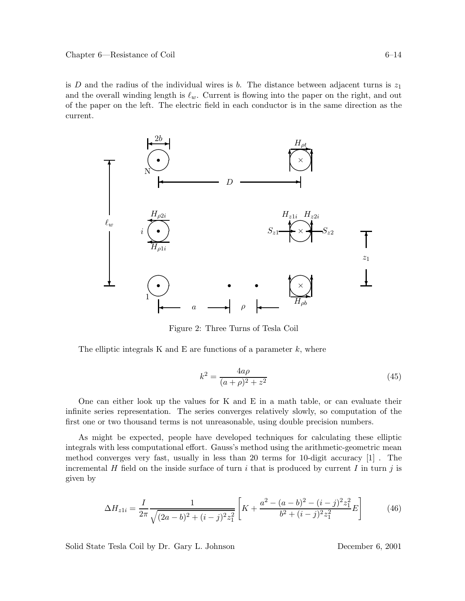is D and the radius of the individual wires is b. The distance between adjacent turns is  $z_1$ and the overall winding length is  $\ell_w$ . Current is flowing into the paper on the right, and out of the paper on the left. The electric field in each conductor is in the same direction as the current.



Figure 2: Three Turns of Tesla Coil

The elliptic integrals K and E are functions of a parameter  $k$ , where

$$
k^2 = \frac{4a\rho}{(a+\rho)^2 + z^2}
$$
 (45)

One can either look up the values for K and E in a math table, or can evaluate their infinite series representation. The series converges relatively slowly, so computation of the first one or two thousand terms is not unreasonable, using double precision numbers.

As might be expected, people have developed techniques for calculating these elliptic integrals with less computational effort. Gauss's method using the arithmetic-geometric mean method converges very fast, usually in less than 20 terms for 10-digit accuracy [1] . The incremental H field on the inside surface of turn i that is produced by current I in turn j is given by

$$
\Delta H_{z1i} = \frac{I}{2\pi} \frac{1}{\sqrt{(2a-b)^2 + (i-j)^2 z_1^2}} \left[ K + \frac{a^2 - (a-b)^2 - (i-j)^2 z_1^2}{b^2 + (i-j)^2 z_1^2} E \right]
$$
(46)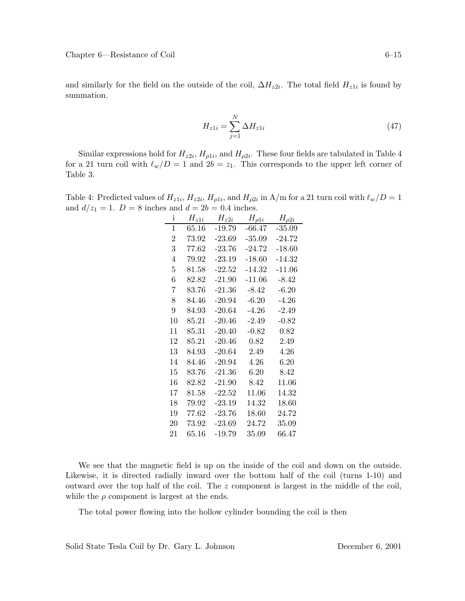and similarly for the field on the outside of the coil,  $\Delta H_{z2i}$ . The total field  $H_{z1i}$  is found by summation.

$$
H_{z1i} = \sum_{j=1}^{N} \Delta H_{z1i}
$$
\n
$$
(47)
$$

Similar expressions hold for  $H_{z2i}$ ,  $H_{\rho 1i}$ , and  $H_{\rho 2i}$ . These four fields are tabulated in Table 4 for a 21 turn coil with  $\ell_w/D = 1$  and  $2b = z_1$ . This corresponds to the upper left corner of Table 3.

Table 4: Predicted values of  $H_{z1i}$ ,  $H_{z2i}$ ,  $H_{\rho 1i}$ , and  $H_{\rho 2i}$  in A/m for a 21 turn coil with  $\ell_w/D = 1$ and  $d/z_1 = 1$ .  $D = 8$  inches and  $d = 2b = 0.4$  inches.

| i              | $H_{z1i}$ | $H_{z2i}$ | $H_{\rho 1i}$ | $H_{\rho 2i}$ |
|----------------|-----------|-----------|---------------|---------------|
| 1              | 65.16     | $-19.79$  | -66.47        | $-35.09$      |
| $\overline{2}$ | 73.92     | $-23.69$  | $-35.09$      | $-24.72$      |
| 3              | 77.62     | $-23.76$  | $-24.72$      | $-18.60$      |
| 4              | 79.92     | $-23.19$  | $-18.60$      | $-14.32$      |
| $\overline{5}$ | 81.58     | $-22.52$  | $-14.32$      | $-11.06$      |
| 6              | 82.82     | $-21.90$  | $-11.06$      | $-8.42$       |
| 7              | 83.76     | $-21.36$  | $-8.42$       | $-6.20$       |
| 8              | 84.46     | $-20.94$  | $-6.20$       | $-4.26$       |
| 9              | 84.93     | $-20.64$  | $-4.26$       | $-2.49$       |
| 10             | 85.21     | $-20.46$  | $-2.49$       | $-0.82$       |
| 11             | 85.31     | $-20.40$  | $-0.82$       | 0.82          |
| 12             | 85.21     | $-20.46$  | 0.82          | 2.49          |
| 13             | 84.93     | $-20.64$  | 2.49          | 4.26          |
| 14             | 84.46     | $-20.94$  | 4.26          | 6.20          |
| 15             | 83.76     | $-21.36$  | 6.20          | 8.42          |
| 16             | 82.82     | $-21.90$  | 8.42          | 11.06         |
| 17             | 81.58     | $-22.52$  | 11.06         | 14.32         |
| 18             | 79.92     | $-23.19$  | 14.32         | 18.60         |
| 19             | 77.62     | $-23.76$  | 18.60         | 24.72         |
| 20             | 73.92     | $-23.69$  | 24.72         | 35.09         |
| 21             | 65.16     | $-19.79$  | 35.09         | 66.47         |

We see that the magnetic field is up on the inside of the coil and down on the outside. Likewise, it is directed radially inward over the bottom half of the coil (turns 1-10) and outward over the top half of the coil. The z component is largest in the middle of the coil, while the  $\rho$  component is largest at the ends.

The total power flowing into the hollow cylinder bounding the coil is then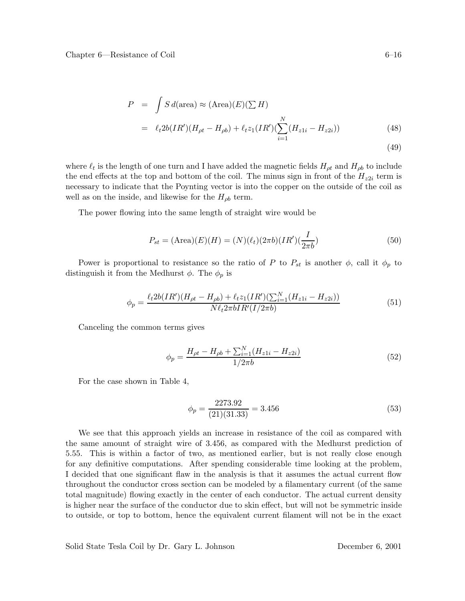$$
P = \int S d(\text{area}) \approx (\text{Area})(E)(\sum H)
$$
  
=  $\ell_t 2b(IR')(H_{\rho t} - H_{\rho b}) + \ell_t z_1 (IR')(\sum_{i=1}^N (H_{z1i} - H_{z2i}))$  (48)

$$
(49)
$$

where  $\ell_t$  is the length of one turn and I have added the magnetic fields  $H_{\rho t}$  and  $H_{\rho b}$  to include the end effects at the top and bottom of the coil. The minus sign in front of the  $H_{z2i}$  term is necessary to indicate that the Poynting vector is into the copper on the outside of the coil as well as on the inside, and likewise for the  $H_{\rho b}$  term.

The power flowing into the same length of straight wire would be

$$
P_{st} = (\text{Area})(E)(H) = (N)(\ell_t)(2\pi b)(IR')(\frac{I}{2\pi b})
$$
\n(50)

Power is proportional to resistance so the ratio of P to  $P_{st}$  is another  $\phi$ , call it  $\phi_p$  to distinguish it from the Medhurst  $\phi$ . The  $\phi_p$  is

$$
\phi_p = \frac{\ell_t 2b(IR')(H_{\rho t} - H_{\rho b}) + \ell_t z_1 (IR')(\sum_{i=1}^N (H_{z1i} - H_{z2i}))}{N\ell_t 2\pi b IR'(I/2\pi b)}\tag{51}
$$

Canceling the common terms gives

$$
\phi_p = \frac{H_{\rho t} - H_{\rho b} + \sum_{i=1}^{N} (H_{z1i} - H_{z2i})}{1/2\pi b} \tag{52}
$$

For the case shown in Table 4,

$$
\phi_p = \frac{2273.92}{(21)(31.33)} = 3.456\tag{53}
$$

We see that this approach yields an increase in resistance of the coil as compared with the same amount of straight wire of 3.456, as compared with the Medhurst prediction of 5.55. This is within a factor of two, as mentioned earlier, but is not really close enough for any definitive computations. After spending considerable time looking at the problem, I decided that one significant flaw in the analysis is that it assumes the actual current flow throughout the conductor cross section can be modeled by a filamentary current (of the same total magnitude) flowing exactly in the center of each conductor. The actual current density is higher near the surface of the conductor due to skin effect, but will not be symmetric inside to outside, or top to bottom, hence the equivalent current filament will not be in the exact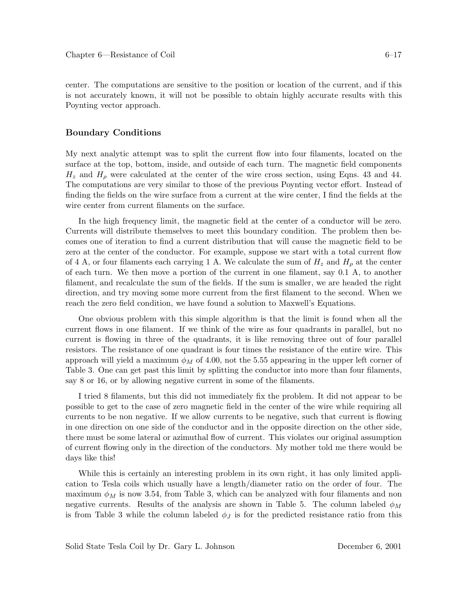center. The computations are sensitive to the position or location of the current, and if this is not accurately known, it will not be possible to obtain highly accurate results with this Poynting vector approach.

### **Boundary Conditions**

My next analytic attempt was to split the current flow into four filaments, located on the surface at the top, bottom, inside, and outside of each turn. The magnetic field components  $H_z$  and  $H_\rho$  were calculated at the center of the wire cross section, using Eqns. 43 and 44. The computations are very similar to those of the previous Poynting vector effort. Instead of finding the fields on the wire surface from a current at the wire center, I find the fields at the wire center from current filaments on the surface.

In the high frequency limit, the magnetic field at the center of a conductor will be zero. Currents will distribute themselves to meet this boundary condition. The problem then becomes one of iteration to find a current distribution that will cause the magnetic field to be zero at the center of the conductor. For example, suppose we start with a total current flow of 4 A, or four filaments each carrying 1 A. We calculate the sum of  $H_z$  and  $H_\rho$  at the center of each turn. We then move a portion of the current in one filament, say 0.1 A, to another filament, and recalculate the sum of the fields. If the sum is smaller, we are headed the right direction, and try moving some more current from the first filament to the second. When we reach the zero field condition, we have found a solution to Maxwell's Equations.

One obvious problem with this simple algorithm is that the limit is found when all the current flows in one filament. If we think of the wire as four quadrants in parallel, but no current is flowing in three of the quadrants, it is like removing three out of four parallel resistors. The resistance of one quadrant is four times the resistance of the entire wire. This approach will yield a maximum  $\phi_M$  of 4.00, not the 5.55 appearing in the upper left corner of Table 3. One can get past this limit by splitting the conductor into more than four filaments, say 8 or 16, or by allowing negative current in some of the filaments.

I tried 8 filaments, but this did not immediately fix the problem. It did not appear to be possible to get to the case of zero magnetic field in the center of the wire while requiring all currents to be non negative. If we allow currents to be negative, such that current is flowing in one direction on one side of the conductor and in the opposite direction on the other side, there must be some lateral or azimuthal flow of current. This violates our original assumption of current flowing only in the direction of the conductors. My mother told me there would be days like this!

While this is certainly an interesting problem in its own right, it has only limited application to Tesla coils which usually have a length/diameter ratio on the order of four. The maximum  $\phi_M$  is now 3.54, from Table 3, which can be analyzed with four filaments and non negative currents. Results of the analysis are shown in Table 5. The column labeled  $\phi_M$ is from Table 3 while the column labeled  $\phi_J$  is for the predicted resistance ratio from this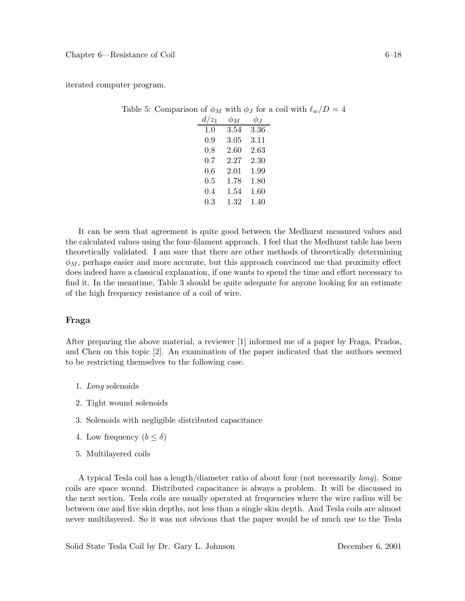iterated computer program.

| $d/z_1$ $\phi_M$ |                     | $\phi_{J}$ |
|------------------|---------------------|------------|
|                  | $1.0$ $3.54$ $3.36$ |            |
|                  | $0.9$ $3.05$ $3.11$ |            |
|                  | $0.8$ 2.60 2.63     |            |
|                  | $0.7$ $2.27$ $2.30$ |            |
|                  | $0.6$ $2.01$ $1.99$ |            |
|                  | $0.5$ 1.78 1.80     |            |
|                  | $0.4$ 1.54 1.60     |            |
|                  | $0.3$ 1.32 1.40     |            |

Table 5: Comparison of  $\phi_M$  with  $\phi_J$  for a coil with  $\ell_w/D = 4$ 

It can be seen that agreement is quite good between the Medhurst measured values and the calculated values using the four-filament approach. I feel that the Medhurst table has been theoretically validated. I am sure that there are other methods of theoretically determining  $\phi_M$ , perhaps easier and more accurate, but this approach convinced me that proximity effect does indeed have a classical explanation, if one wants to spend the time and effort necessary to find it. In the meantime, Table 3 should be quite adequate for anyone looking for an estimate of the high frequency resistance of a coil of wire.

### **Fraga**

After preparing the above material, a reviewer [1] informed me of a paper by Fraga, Prados, and Chen on this topic [2]. An examination of the paper indicated that the authors seemed to be restricting themselves to the following case.

- 1. *Long* solenoids
- 2. Tight wound solenoids
- 3. Solenoids with negligible distributed capacitance
- 4. Low frequency  $(b \leq \delta)$
- 5. Multilayered coils

A typical Tesla coil has a length/diameter ratio of about four (not necessarily *long*). Some coils are space wound. Distributed capacitance is always a problem. It will be discussed in the next section. Tesla coils are usually operated at frequencies where the wire radius will be between one and five skin depths, not less than a single skin depth. And Tesla coils are almost never multilayered. So it was not obvious that the paper would be of much use to the Tesla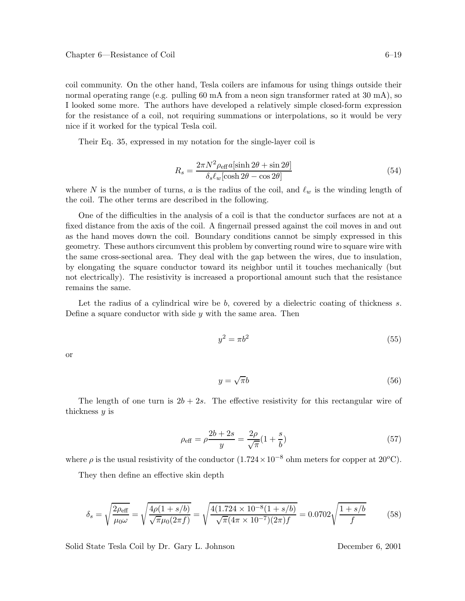coil community. On the other hand, Tesla coilers are infamous for using things outside their normal operating range (e.g. pulling 60 mA from a neon sign transformer rated at 30 mA), so I looked some more. The authors have developed a relatively simple closed-form expression for the resistance of a coil, not requiring summations or interpolations, so it would be very nice if it worked for the typical Tesla coil.

Their Eq. 35, expressed in my notation for the single-layer coil is

$$
R_s = \frac{2\pi N^2 \rho_{\text{eff}} a [\sinh 2\theta + \sin 2\theta]}{\delta_s \ell_w [\cosh 2\theta - \cos 2\theta]}
$$
(54)

where N is the number of turns, a is the radius of the coil, and  $\ell_w$  is the winding length of the coil. The other terms are described in the following.

One of the difficulties in the analysis of a coil is that the conductor surfaces are not at a fixed distance from the axis of the coil. A fingernail pressed against the coil moves in and out as the hand moves down the coil. Boundary conditions cannot be simply expressed in this geometry. These authors circumvent this problem by converting round wire to square wire with the same cross-sectional area. They deal with the gap between the wires, due to insulation, by elongating the square conductor toward its neighbor until it touches mechanically (but not electrically). The resistivity is increased a proportional amount such that the resistance remains the same.

Let the radius of a cylindrical wire be  $b$ , covered by a dielectric coating of thickness  $s$ . Define a square conductor with side  $y$  with the same area. Then

$$
y^2 = \pi b^2 \tag{55}
$$

or

$$
y = \sqrt{\pi}b\tag{56}
$$

The length of one turn is  $2b + 2s$ . The effective resistivity for this rectangular wire of thickness  $y$  is

$$
\rho_{\text{eff}} = \rho \frac{2b + 2s}{y} = \frac{2\rho}{\sqrt{\pi}} (1 + \frac{s}{b})
$$
\n(57)

where  $\rho$  is the usual resistivity of the conductor  $(1.724 \times 10^{-8}$  ohm meters for copper at 20<sup>o</sup>C).

They then define an effective skin depth

$$
\delta_s = \sqrt{\frac{2\rho_{\text{eff}}}{\mu_0 \omega}} = \sqrt{\frac{4\rho(1+s/b)}{\sqrt{\pi}\mu_0(2\pi f)}} = \sqrt{\frac{4(1.724 \times 10^{-8}(1+s/b)}{\sqrt{\pi}(4\pi \times 10^{-7})(2\pi)f}} = 0.0702\sqrt{\frac{1+s/b}{f}} \tag{58}
$$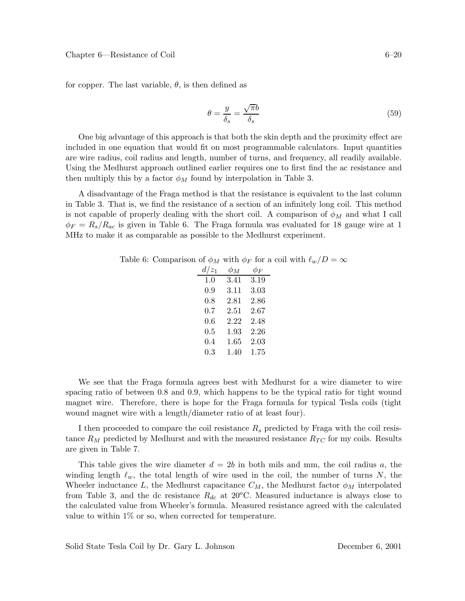for copper. The last variable,  $\theta$ , is then defined as

$$
\theta = \frac{y}{\delta_s} = \frac{\sqrt{\pi b}}{\delta_s} \tag{59}
$$

One big advantage of this approach is that both the skin depth and the proximity effect are included in one equation that would fit on most programmable calculators. Input quantities are wire radius, coil radius and length, number of turns, and frequency, all readily available. Using the Medhurst approach outlined earlier requires one to first find the ac resistance and then multiply this by a factor  $\phi_M$  found by interpolation in Table 3.

A disadvantage of the Fraga method is that the resistance is equivalent to the last column in Table 3. That is, we find the resistance of a section of an infinitely long coil. This method is not capable of properly dealing with the short coil. A comparison of  $\phi_M$  and what I call  $\phi_F = R_s/R_{ac}$  is given in Table 6. The Fraga formula was evaluated for 18 gauge wire at 1 MHz to make it as comparable as possible to the Medhurst experiment.

| Table 6: Comparison of $\phi_M$ with $\phi_F$ for a coil with $\ell_w/D = \infty$ |  |  |  |  |
|-----------------------------------------------------------------------------------|--|--|--|--|
|                                                                                   |  |  |  |  |

| $d/z_1$ | $\phi_M$ | $\phi_F$ |
|---------|----------|----------|
| 1.0     | 3.41     | 3.19     |
| 0.9     | 3.11     | 3.03     |
| 0.8     | 2.81     | 2.86     |
| $0.7\,$ | 2.51     | 2.67     |
| $0.6\,$ | 2.22     | 2.48     |
| $0.5\,$ | 1.93     | 2.26     |
| 0.4     | $1.65\,$ | 2.03     |
| 0.3     | 1.40     | 1.75     |

We see that the Fraga formula agrees best with Medhurst for a wire diameter to wire spacing ratio of between 0.8 and 0.9, which happens to be the typical ratio for tight wound magnet wire. Therefore, there is hope for the Fraga formula for typical Tesla coils (tight wound magnet wire with a length/diameter ratio of at least four).

I then proceeded to compare the coil resistance  $R_s$  predicted by Fraga with the coil resistance  $R_M$  predicted by Medhurst and with the measured resistance  $R_{TC}$  for my coils. Results are given in Table 7.

This table gives the wire diameter  $d = 2b$  in both mils and mm, the coil radius a, the winding length  $\ell_w$ , the total length of wire used in the coil, the number of turns N, the Wheeler inductance L, the Medhurst capacitance  $C_M$ , the Medhurst factor  $\phi_M$  interpolated from Table 3, and the dc resistance  $R_{dc}$  at 20<sup>o</sup>C. Measured inductance is always close to the calculated value from Wheeler's formula. Measured resistance agreed with the calculated value to within  $1\%$  or so, when corrected for temperature.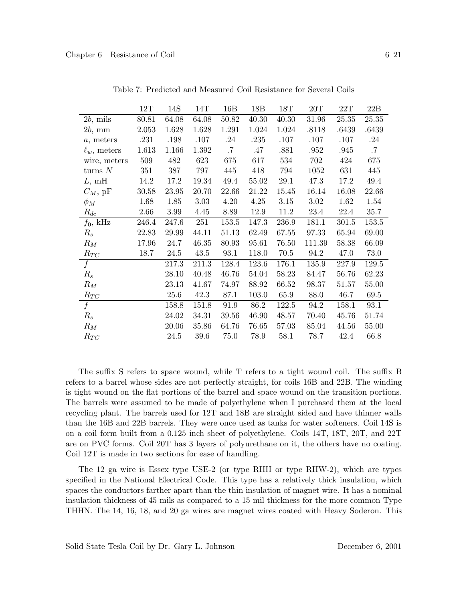|                   | $12\mathrm{T}$ | 14S   | 14T   | 16B       | 18B   | 18T   | 20T      | 22T   | 22B    |
|-------------------|----------------|-------|-------|-----------|-------|-------|----------|-------|--------|
| $2b$ , mils       | 80.81          | 64.08 | 64.08 | 50.82     | 40.30 | 40.30 | 31.96    | 25.35 | 25.35  |
| $2b$ , mm         | 2.053          | 1.628 | 1.628 | 1.291     | 1.024 | 1.024 | .8118    | .6439 | .6439  |
| $a$ , meters      | .231           | .198  | .107  | .24       | .235  | .107  | .107     | .107  | .24    |
| $\ell_w$ , meters | 1.613          | 1.166 | 1.392 | $\cdot 7$ | .47   | .881  | .952     | .945  | $.7\,$ |
| wire, meters      | 509            | 482   | 623   | 675       | 617   | 534   | 702      | 424   | 675    |
| turns $N$         | 351            | 387   | 797   | 445       | 418   | 794   | 1052     | 631   | 445    |
| L, mH             | 14.2           | 17.2  | 19.34 | 49.4      | 55.02 | 29.1  | 47.3     | 17.2  | 49.4   |
| $C_M$ , pF        | 30.58          | 23.95 | 20.70 | 22.66     | 21.22 | 15.45 | 16.14    | 16.08 | 22.66  |
| $\phi_M$          | 1.68           | 1.85  | 3.03  | 4.20      | 4.25  | 3.15  | $3.02\,$ | 1.62  | 1.54   |
| $R_{dc}$          | 2.66           | 3.99  | 4.45  | 8.89      | 12.9  | 11.2  | 23.4     | 22.4  | 35.7   |
| $f_0$ , kHz       | 246.4          | 247.6 | 251   | 153.5     | 147.3 | 236.9 | 181.1    | 301.5 | 153.5  |
| $R_{s}$           | 22.83          | 29.99 | 44.11 | 51.13     | 62.49 | 67.55 | 97.33    | 65.94 | 69.00  |
| $R_M$             | 17.96          | 24.7  | 46.35 | 80.93     | 95.61 | 76.50 | 111.39   | 58.38 | 66.09  |
| $R_{TC}$          | 18.7           | 24.5  | 43.5  | 93.1      | 118.0 | 70.5  | 94.2     | 47.0  | 73.0   |
| f                 |                | 217.3 | 211.3 | 128.4     | 123.6 | 176.1 | 135.9    | 227.9 | 129.5  |
| $R_s$             |                | 28.10 | 40.48 | 46.76     | 54.04 | 58.23 | 84.47    | 56.76 | 62.23  |
| ${\cal R}_M$      |                | 23.13 | 41.67 | 74.97     | 88.92 | 66.52 | 98.37    | 51.57 | 55.00  |
| $R_{TC}$          |                | 25.6  | 42.3  | 87.1      | 103.0 | 65.9  | 88.0     | 46.7  | 69.5   |
| $\boldsymbol{f}$  |                | 158.8 | 151.8 | 91.9      | 86.2  | 122.5 | 94.2     | 158.1 | 93.1   |
| $R_s$             |                | 24.02 | 34.31 | 39.56     | 46.90 | 48.57 | 70.40    | 45.76 | 51.74  |
| $R_M$             |                | 20.06 | 35.86 | 64.76     | 76.65 | 57.03 | 85.04    | 44.56 | 55.00  |
| $R_{TC}$          |                | 24.5  | 39.6  | 75.0      | 78.9  | 58.1  | 78.7     | 42.4  | 66.8   |

Table 7: Predicted and Measured Coil Resistance for Several Coils

The suffix S refers to space wound, while T refers to a tight wound coil. The suffix B refers to a barrel whose sides are not perfectly straight, for coils 16B and 22B. The winding is tight wound on the flat portions of the barrel and space wound on the transition portions. The barrels were assumed to be made of polyethylene when I purchased them at the local recycling plant. The barrels used for 12T and 18B are straight sided and have thinner walls than the 16B and 22B barrels. They were once used as tanks for water softeners. Coil 14S is on a coil form built from a 0.125 inch sheet of polyethylene. Coils 14T, 18T, 20T, and 22T are on PVC forms. Coil 20T has 3 layers of polyurethane on it, the others have no coating. Coil 12T is made in two sections for ease of handling.

The 12 ga wire is Essex type USE-2 (or type RHH or type RHW-2), which are types specified in the National Electrical Code. This type has a relatively thick insulation, which spaces the conductors farther apart than the thin insulation of magnet wire. It has a nominal insulation thickness of 45 mils as compared to a 15 mil thickness for the more common Type THHN. The 14, 16, 18, and 20 ga wires are magnet wires coated with Heavy Soderon. This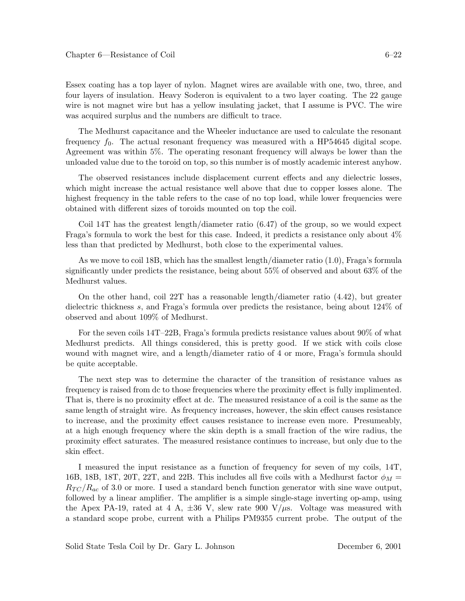Essex coating has a top layer of nylon. Magnet wires are available with one, two, three, and four layers of insulation. Heavy Soderon is equivalent to a two layer coating. The 22 gauge wire is not magnet wire but has a yellow insulating jacket, that I assume is PVC. The wire was acquired surplus and the numbers are difficult to trace.

The Medhurst capacitance and the Wheeler inductance are used to calculate the resonant frequency  $f_0$ . The actual resonant frequency was measured with a HP54645 digital scope. Agreement was within 5%. The operating resonant frequency will always be lower than the unloaded value due to the toroid on top, so this number is of mostly academic interest anyhow.

The observed resistances include displacement current effects and any dielectric losses, which might increase the actual resistance well above that due to copper losses alone. The highest frequency in the table refers to the case of no top load, while lower frequencies were obtained with different sizes of toroids mounted on top the coil.

Coil 14T has the greatest length/diameter ratio (6.47) of the group, so we would expect Fraga's formula to work the best for this case. Indeed, it predicts a resistance only about 4% less than that predicted by Medhurst, both close to the experimental values.

As we move to coil 18B, which has the smallest length/diameter ratio (1.0), Fraga's formula significantly under predicts the resistance, being about 55% of observed and about 63% of the Medhurst values.

On the other hand, coil 22T has a reasonable length/diameter ratio  $(4.42)$ , but greater dielectric thickness s, and Fraga's formula over predicts the resistance, being about 124% of observed and about 109% of Medhurst.

For the seven coils 14T–22B, Fraga's formula predicts resistance values about 90% of what Medhurst predicts. All things considered, this is pretty good. If we stick with coils close wound with magnet wire, and a length/diameter ratio of 4 or more, Fraga's formula should be quite acceptable.

The next step was to determine the character of the transition of resistance values as frequency is raised from dc to those frequencies where the proximity effect is fully implimented. That is, there is no proximity effect at dc. The measured resistance of a coil is the same as the same length of straight wire. As frequency increases, however, the skin effect causes resistance to increase, and the proximity effect causes resistance to increase even more. Presumeably, at a high enough frequency where the skin depth is a small fraction of the wire radius, the proximity effect saturates. The measured resistance continues to increase, but only due to the skin effect.

I measured the input resistance as a function of frequency for seven of my coils, 14T, 16B, 18B, 18T, 20T, 22T, and 22B. This includes all five coils with a Medhurst factor  $\phi_M =$  $R_{TC}/R_{ac}$  of 3.0 or more. I used a standard bench function generator with sine wave output, followed by a linear amplifier. The amplifier is a simple single-stage inverting op-amp, using the Apex PA-19, rated at 4 A,  $\pm 36$  V, slew rate 900 V/ $\mu$ s. Voltage was measured with a standard scope probe, current with a Philips PM9355 current probe. The output of the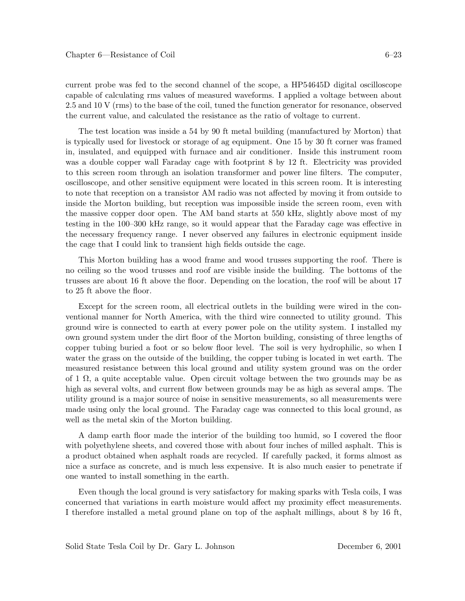current probe was fed to the second channel of the scope, a HP54645D digital oscilloscope capable of calculating rms values of measured waveforms. I applied a voltage between about 2.5 and 10 V (rms) to the base of the coil, tuned the function generator for resonance, observed the current value, and calculated the resistance as the ratio of voltage to current.

The test location was inside a 54 by 90 ft metal building (manufactured by Morton) that is typically used for livestock or storage of ag equipment. One 15 by 30 ft corner was framed in, insulated, and equipped with furnace and air conditioner. Inside this instrument room was a double copper wall Faraday cage with footprint 8 by 12 ft. Electricity was provided to this screen room through an isolation transformer and power line filters. The computer, oscilloscope, and other sensitive equipment were located in this screen room. It is interesting to note that reception on a transistor AM radio was not affected by moving it from outside to inside the Morton building, but reception was impossible inside the screen room, even with the massive copper door open. The AM band starts at 550 kHz, slightly above most of my testing in the 100–300 kHz range, so it would appear that the Faraday cage was effective in the necessary frequency range. I never observed any failures in electronic equipment inside the cage that I could link to transient high fields outside the cage.

This Morton building has a wood frame and wood trusses supporting the roof. There is no ceiling so the wood trusses and roof are visible inside the building. The bottoms of the trusses are about 16 ft above the floor. Depending on the location, the roof will be about 17 to 25 ft above the floor.

Except for the screen room, all electrical outlets in the building were wired in the conventional manner for North America, with the third wire connected to utility ground. This ground wire is connected to earth at every power pole on the utility system. I installed my own ground system under the dirt floor of the Morton building, consisting of three lengths of copper tubing buried a foot or so below floor level. The soil is very hydrophilic, so when I water the grass on the outside of the building, the copper tubing is located in wet earth. The measured resistance between this local ground and utility system ground was on the order of 1  $\Omega$ , a quite acceptable value. Open circuit voltage between the two grounds may be as high as several volts, and current flow between grounds may be as high as several amps. The utility ground is a major source of noise in sensitive measurements, so all measurements were made using only the local ground. The Faraday cage was connected to this local ground, as well as the metal skin of the Morton building.

A damp earth floor made the interior of the building too humid, so I covered the floor with polyethylene sheets, and covered those with about four inches of milled asphalt. This is a product obtained when asphalt roads are recycled. If carefully packed, it forms almost as nice a surface as concrete, and is much less expensive. It is also much easier to penetrate if one wanted to install something in the earth.

Even though the local ground is very satisfactory for making sparks with Tesla coils, I was concerned that variations in earth moisture would affect my proximity effect measurements. I therefore installed a metal ground plane on top of the asphalt millings, about 8 by 16 ft,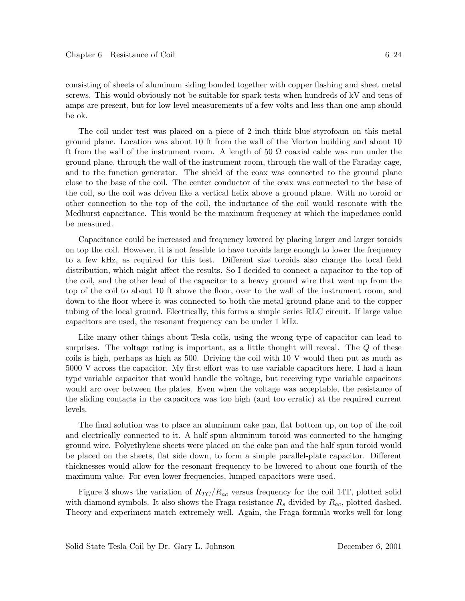consisting of sheets of aluminum siding bonded together with copper flashing and sheet metal screws. This would obviously not be suitable for spark tests when hundreds of kV and tens of amps are present, but for low level measurements of a few volts and less than one amp should be ok.

The coil under test was placed on a piece of 2 inch thick blue styrofoam on this metal ground plane. Location was about 10 ft from the wall of the Morton building and about 10 ft from the wall of the instrument room. A length of 50  $\Omega$  coaxial cable was run under the ground plane, through the wall of the instrument room, through the wall of the Faraday cage, and to the function generator. The shield of the coax was connected to the ground plane close to the base of the coil. The center conductor of the coax was connected to the base of the coil, so the coil was driven like a vertical helix above a ground plane. With no toroid or other connection to the top of the coil, the inductance of the coil would resonate with the Medhurst capacitance. This would be the maximum frequency at which the impedance could be measured.

Capacitance could be increased and frequency lowered by placing larger and larger toroids on top the coil. However, it is not feasible to have toroids large enough to lower the frequency to a few kHz, as required for this test. Different size toroids also change the local field distribution, which might affect the results. So I decided to connect a capacitor to the top of the coil, and the other lead of the capacitor to a heavy ground wire that went up from the top of the coil to about 10 ft above the floor, over to the wall of the instrument room, and down to the floor where it was connected to both the metal ground plane and to the copper tubing of the local ground. Electrically, this forms a simple series RLC circuit. If large value capacitors are used, the resonant frequency can be under 1 kHz.

Like many other things about Tesla coils, using the wrong type of capacitor can lead to surprises. The voltage rating is important, as a little thought will reveal. The Q of these coils is high, perhaps as high as 500. Driving the coil with 10 V would then put as much as 5000 V across the capacitor. My first effort was to use variable capacitors here. I had a ham type variable capacitor that would handle the voltage, but receiving type variable capacitors would arc over between the plates. Even when the voltage was acceptable, the resistance of the sliding contacts in the capacitors was too high (and too erratic) at the required current levels.

The final solution was to place an aluminum cake pan, flat bottom up, on top of the coil and electrically connected to it. A half spun aluminum toroid was connected to the hanging ground wire. Polyethylene sheets were placed on the cake pan and the half spun toroid would be placed on the sheets, flat side down, to form a simple parallel-plate capacitor. Different thicknesses would allow for the resonant frequency to be lowered to about one fourth of the maximum value. For even lower frequencies, lumped capacitors were used.

Figure 3 shows the variation of  $R_{TC}/R_{ac}$  versus frequency for the coil 14T, plotted solid with diamond symbols. It also shows the Fraga resistance  $R_s$  divided by  $R_{ac}$ , plotted dashed. Theory and experiment match extremely well. Again, the Fraga formula works well for long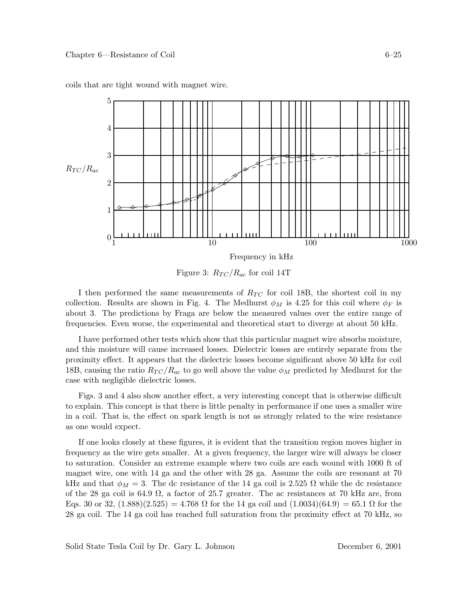

coils that are tight wound with magnet wire.

Figure 3:  $R_{TC}/R_{ac}$  for coil 14T

I then performed the same measurements of  $R_{TC}$  for coil 18B, the shortest coil in my collection. Results are shown in Fig. 4. The Medhurst  $\phi_M$  is 4.25 for this coil where  $\phi_F$  is about 3. The predictions by Fraga are below the measured values over the entire range of frequencies. Even worse, the experimental and theoretical start to diverge at about 50 kHz.

I have performed other tests which show that this particular magnet wire absorbs moisture, and this moisture will cause increased losses. Dielectric losses are entirely separate from the proximity effect. It appears that the dielectric losses become significant above 50 kHz for coil 18B, causing the ratio  $R_{TC}/R_{ac}$  to go well above the value  $\phi_M$  predicted by Medhurst for the case with negligible dielectric losses.

Figs. 3 and 4 also show another effect, a very interesting concept that is otherwise difficult to explain. This concept is that there is little penalty in performance if one uses a smaller wire in a coil. That is, the effect on spark length is not as strongly related to the wire resistance as one would expect.

If one looks closely at these figures, it is evident that the transition region moves higher in frequency as the wire gets smaller. At a given frequency, the larger wire will always be closer to saturation. Consider an extreme example where two coils are each wound with 1000 ft of magnet wire, one with 14 ga and the other with 28 ga. Assume the coils are resonant at 70 kHz and that  $\phi_M = 3$ . The dc resistance of the 14 ga coil is 2.525  $\Omega$  while the dc resistance of the 28 ga coil is 64.9  $\Omega$ , a factor of 25.7 greater. The ac resistances at 70 kHz are, from Eqs. 30 or 32,  $(1.888)(2.525) = 4.768 \Omega$  for the 14 ga coil and  $(1.0034)(64.9) = 65.1 \Omega$  for the 28 ga coil. The 14 ga coil has reached full saturation from the proximity effect at 70 kHz, so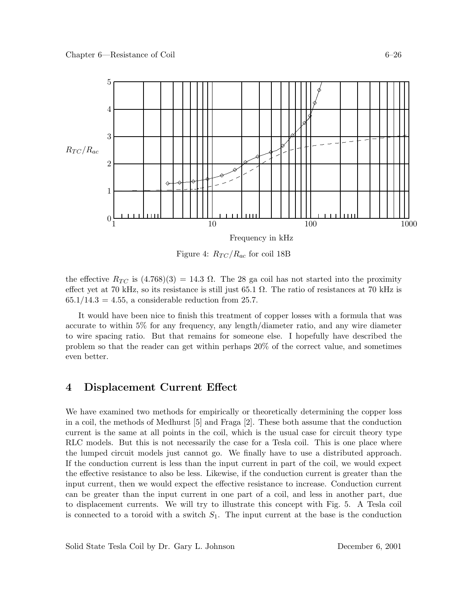

Figure 4:  $R_{TC}/R_{ac}$  for coil 18B

the effective  $R_{TC}$  is  $(4.768)(3) = 14.3 \Omega$ . The 28 ga coil has not started into the proximity effect yet at 70 kHz, so its resistance is still just 65.1  $\Omega$ . The ratio of resistances at 70 kHz is  $65.1/14.3 = 4.55$ , a considerable reduction from 25.7.

It would have been nice to finish this treatment of copper losses with a formula that was accurate to within 5% for any frequency, any length/diameter ratio, and any wire diameter to wire spacing ratio. But that remains for someone else. I hopefully have described the problem so that the reader can get within perhaps 20% of the correct value, and sometimes even better.

# **4 Displacement Current Effect**

We have examined two methods for empirically or theoretically determining the copper loss in a coil, the methods of Medhurst [5] and Fraga [2]. These both assume that the conduction current is the same at all points in the coil, which is the usual case for circuit theory type RLC models. But this is not necessarily the case for a Tesla coil. This is one place where the lumped circuit models just cannot go. We finally have to use a distributed approach. If the conduction current is less than the input current in part of the coil, we would expect the effective resistance to also be less. Likewise, if the conduction current is greater than the input current, then we would expect the effective resistance to increase. Conduction current can be greater than the input current in one part of a coil, and less in another part, due to displacement currents. We will try to illustrate this concept with Fig. 5. A Tesla coil is connected to a toroid with a switch  $S_1$ . The input current at the base is the conduction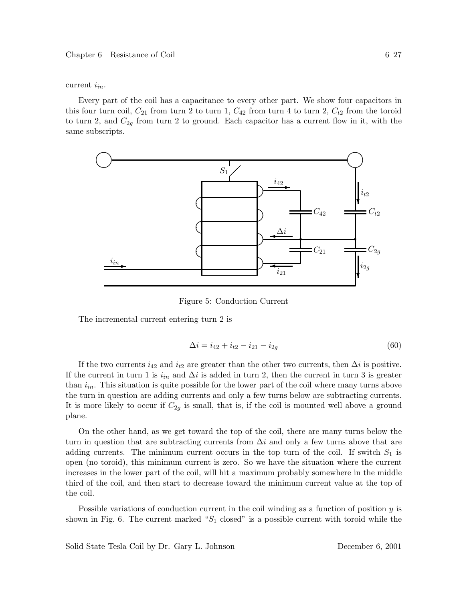current  $i_{in}$ .

Every part of the coil has a capacitance to every other part. We show four capacitors in this four turn coil,  $C_{21}$  from turn 2 to turn 1,  $C_{42}$  from turn 4 to turn 2,  $C_{t2}$  from the toroid to turn 2, and  $C_{2q}$  from turn 2 to ground. Each capacitor has a current flow in it, with the same subscripts.



Figure 5: Conduction Current

The incremental current entering turn 2 is

$$
\Delta i = i_{42} + i_{t2} - i_{21} - i_{2g} \tag{60}
$$

If the two currents  $i_{42}$  and  $i_{t2}$  are greater than the other two currents, then  $\Delta i$  is positive. If the current in turn 1 is  $i_{in}$  and  $\Delta i$  is added in turn 2, then the current in turn 3 is greater than  $i_{in}$ . This situation is quite possible for the lower part of the coil where many turns above the turn in question are adding currents and only a few turns below are subtracting currents. It is more likely to occur if  $C_{2q}$  is small, that is, if the coil is mounted well above a ground plane.

On the other hand, as we get toward the top of the coil, there are many turns below the turn in question that are subtracting currents from  $\Delta i$  and only a few turns above that are adding currents. The minimum current occurs in the top turn of the coil. If switch  $S_1$  is open (no toroid), this minimum current is zero. So we have the situation where the current increases in the lower part of the coil, will hit a maximum probably somewhere in the middle third of the coil, and then start to decrease toward the minimum current value at the top of the coil.

Possible variations of conduction current in the coil winding as a function of position  $y$  is shown in Fig. 6. The current marked " $S_1$  closed" is a possible current with toroid while the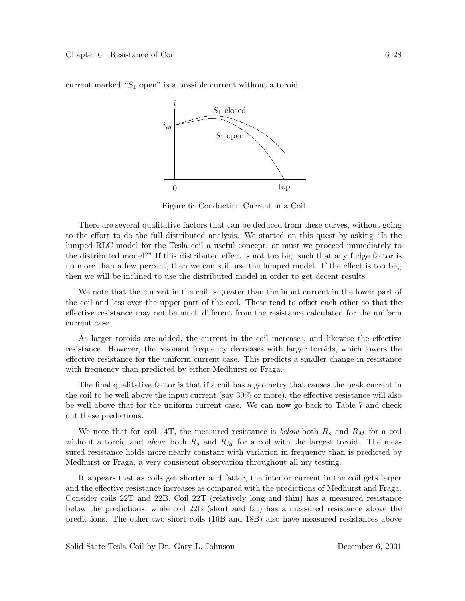

current marked " $S_1$  open" is a possible current without a toroid.

Figure 6: Conduction Current in a Coil

There are several qualitative factors that can be deduced from these curves, without going to the effort to do the full distributed analysis. We started on this quest by asking "Is the lumped RLC model for the Tesla coil a useful concept, or must we proceed immediately to the distributed model?" If this distributed effect is not too big, such that any fudge factor is no more than a few percent, then we can still use the lumped model. If the effect is too big, then we will be inclined to use the distributed model in order to get decent results.

We note that the current in the coil is greater than the input current in the lower part of the coil and less over the upper part of the coil. These tend to offset each other so that the effective resistance may not be much different from the resistance calculated for the uniform current case.

As larger toroids are added, the current in the coil increases, and likewise the effective resistance. However, the resonant frequency decreases with larger toroids, which lowers the effective resistance for the uniform current case. This predicts a smaller change in resistance with frequency than predicted by either Medhurst or Fraga.

The final qualitative factor is that if a coil has a geometry that causes the peak current in the coil to be well above the input current (say 30% or more), the effective resistance will also be well above that for the uniform current case. We can now go back to Table 7 and check out these predictions.

We note that for coil 14T, the measured resistance is *below* both  $R_s$  and  $R_M$  for a coil without a toroid and *above* both  $R_s$  and  $R_M$  for a coil with the largest toroid. The measured resistance holds more nearly constant with variation in frequency than is predicted by Medhurst or Fraga, a very consistent observation throughout all my testing.

It appears that as coils get shorter and fatter, the interior current in the coil gets larger and the effective resistance increases as compared with the predictions of Medhurst and Fraga. Consider coils 22T and 22B. Coil 22T (relatively long and thin) has a measured resistance below the predictions, while coil 22B (short and fat) has a measured resistance above the predictions. The other two short coils (16B and 18B) also have measured resistances above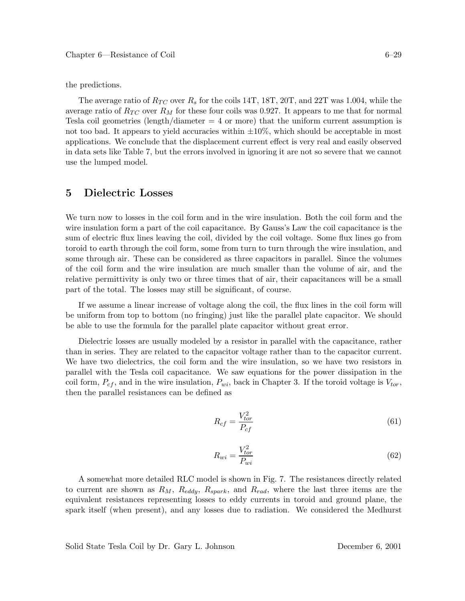the predictions.

The average ratio of  $R_{TC}$  over  $R_s$  for the coils 14T, 18T, 20T, and 22T was 1.004, while the average ratio of  $R_{TC}$  over  $R_M$  for these four coils was 0.927. It appears to me that for normal Tesla coil geometries (length/diameter  $= 4$  or more) that the uniform current assumption is not too bad. It appears to yield accuracies within  $\pm 10\%$ , which should be acceptable in most applications. We conclude that the displacement current effect is very real and easily observed in data sets like Table 7, but the errors involved in ignoring it are not so severe that we cannot use the lumped model.

## **5 Dielectric Losses**

We turn now to losses in the coil form and in the wire insulation. Both the coil form and the wire insulation form a part of the coil capacitance. By Gauss's Law the coil capacitance is the sum of electric flux lines leaving the coil, divided by the coil voltage. Some flux lines go from toroid to earth through the coil form, some from turn to turn through the wire insulation, and some through air. These can be considered as three capacitors in parallel. Since the volumes of the coil form and the wire insulation are much smaller than the volume of air, and the relative permittivity is only two or three times that of air, their capacitances will be a small part of the total. The losses may still be significant, of course.

If we assume a linear increase of voltage along the coil, the flux lines in the coil form will be uniform from top to bottom (no fringing) just like the parallel plate capacitor. We should be able to use the formula for the parallel plate capacitor without great error.

Dielectric losses are usually modeled by a resistor in parallel with the capacitance, rather than in series. They are related to the capacitor voltage rather than to the capacitor current. We have two dielectrics, the coil form and the wire insulation, so we have two resistors in parallel with the Tesla coil capacitance. We saw equations for the power dissipation in the coil form,  $P_{cf}$ , and in the wire insulation,  $P_{wi}$ , back in Chapter 3. If the toroid voltage is  $V_{tor}$ , then the parallel resistances can be defined as

$$
R_{cf} = \frac{V_{tor}^2}{P_{cf}}
$$
\n
$$
\tag{61}
$$

$$
R_{wi} = \frac{V_{tor}^2}{P_{wi}}\tag{62}
$$

A somewhat more detailed RLC model is shown in Fig. 7. The resistances directly related to current are shown as  $R_M$ ,  $R_{eddy}$ ,  $R_{spark}$ , and  $R_{rad}$ , where the last three items are the equivalent resistances representing losses to eddy currents in toroid and ground plane, the spark itself (when present), and any losses due to radiation. We considered the Medhurst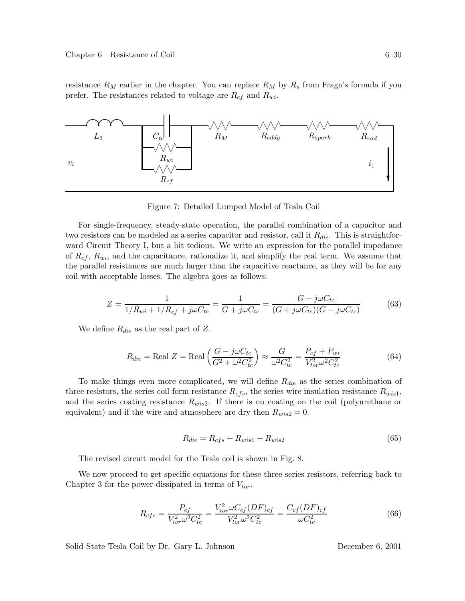resistance  $R_M$  earlier in the chapter. You can replace  $R_M$  by  $R_s$  from Fraga's formula if you prefer. The resistances related to voltage are  $R_{cf}$  and  $R_{wi}$ .



Figure 7: Detailed Lumped Model of Tesla Coil

For single-frequency, steady-state operation, the parallel combination of a capacitor and two resistors can be modeled as a series capacitor and resistor, call it  $R_{die}$ . This is straightforward Circuit Theory I, but a bit tedious. We write an expression for the parallel impedance of  $R_{cf}$ ,  $R_{wi}$ , and the capacitance, rationalize it, and simplify the real term. We assume that the parallel resistances are much larger than the capacitive reactance, as they will be for any coil with acceptable losses. The algebra goes as follows:

$$
Z = \frac{1}{1/R_{wi} + 1/R_{cf} + j\omega C_{tc}} = \frac{1}{G + j\omega C_{tc}} = \frac{G - j\omega C_{tc}}{(G + j\omega C_{tc})(G - j\omega C_{tc})}
$$
(63)

We define  $R_{die}$  as the real part of Z.

$$
R_{die} = \text{Real } Z = \text{Real}\left(\frac{G - j\omega C_{tc}}{G^2 + \omega^2 C_{tc}^2}\right) \approx \frac{G}{\omega^2 C_{tc}^2} = \frac{P_{cf} + P_{wi}}{V_{tor}^2 \omega^2 C_{tc}^2}
$$
(64)

To make things even more complicated, we will define  $R_{die}$  as the series combination of three resistors, the series coil form resistance  $R_{cfs}$ , the series wire insulation resistance  $R_{wis1}$ , and the series coating resistance  $R_{wis2}$ . If there is no coating on the coil (polyurethane or equivalent) and if the wire and atmosphere are dry then  $R_{wis2} = 0$ .

$$
R_{die} = R_{cfs} + R_{wis1} + R_{wis2} \tag{65}
$$

The revised circuit model for the Tesla coil is shown in Fig. 8.

We now proceed to get specific equations for these three series resistors, referring back to Chapter 3 for the power dissipated in terms of  $V_{tor}$ .

$$
R_{cfs} = \frac{P_{cf}}{V_{tor}^2 \omega^2 C_{tc}^2} = \frac{V_{tor}^2 \omega C_{cf} (DF)_{cf}}{V_{tor}^2 \omega^2 C_{tc}^2} = \frac{C_{cf} (DF)_{cf}}{\omega C_{tc}^2}
$$
(66)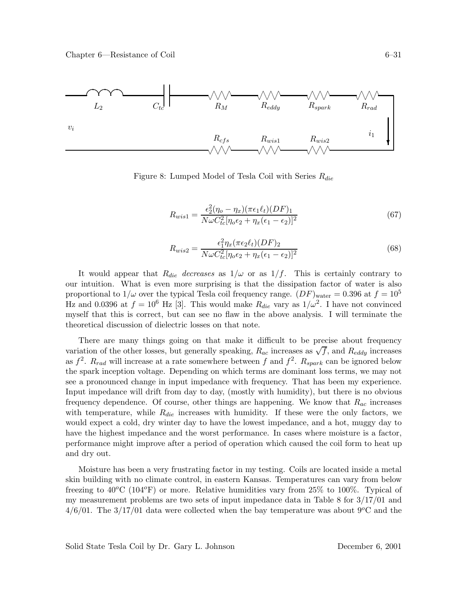

Figure 8: Lumped Model of Tesla Coil with Series  $R_{die}$ 

$$
R_{wis1} = \frac{\epsilon_2^2 (\eta_o - \eta_x)(\pi \epsilon_1 t_t)(DF)_1}{N \omega C_{tc}^2 [\eta_o \epsilon_2 + \eta_x(\epsilon_1 - \epsilon_2)]^2}
$$
(67)

$$
R_{wis2} = \frac{\epsilon_1^2 \eta_x (\pi \epsilon_2 \ell_t) (DF)_2}{N \omega C_{tc}^2 [\eta_o \epsilon_2 + \eta_x (\epsilon_1 - \epsilon_2)]^2}
$$
(68)

It would appear that  $R_{die}$  decreases as  $1/\omega$  or as  $1/f$ . This is certainly contrary to our intuition. What is even more surprising is that the dissipation factor of water is also proportional to  $1/\omega$  over the typical Tesla coil frequency range.  $(DF)_{\text{water}} = 0.396$  at  $f = 10^5$ Hz and 0.0396 at  $f = 10^6$  Hz [3]. This would make  $R_{die}$  vary as  $1/\omega^2$ . I have not convinced myself that this is correct, but can see no flaw in the above analysis. I will terminate the theoretical discussion of dielectric losses on that note.

There are many things going on that make it difficult to be precise about frequency variation of the other losses, but generally speaking,  $R_{ac}$  increases as  $\sqrt{f}$ , and  $R_{eddy}$  increases as  $f^2$ .  $R_{rad}$  will increase at a rate somewhere between f and  $f^2$ .  $R_{spark}$  can be ignored below the spark inception voltage. Depending on which terms are dominant loss terms, we may not see a pronounced change in input impedance with frequency. That has been my experience. Input impedance will drift from day to day, (mostly with humidity), but there is no obvious frequency dependence. Of course, other things are happening. We know that  $R_{ac}$  increases with temperature, while  $R_{die}$  increases with humidity. If these were the only factors, we would expect a cold, dry winter day to have the lowest impedance, and a hot, muggy day to have the highest impedance and the worst performance. In cases where moisture is a factor, performance might improve after a period of operation which caused the coil form to heat up and dry out.

Moisture has been a very frustrating factor in my testing. Coils are located inside a metal skin building with no climate control, in eastern Kansas. Temperatures can vary from below freezing to  $40^{\circ}\text{C}$  (104 $^{\circ}\text{F}$ ) or more. Relative humidities vary from 25% to 100%. Typical of my measurement problems are two sets of input impedance data in Table 8 for 3/17/01 and  $4/6/01$ . The  $3/17/01$  data were collected when the bay temperature was about  $9^{\circ}$ C and the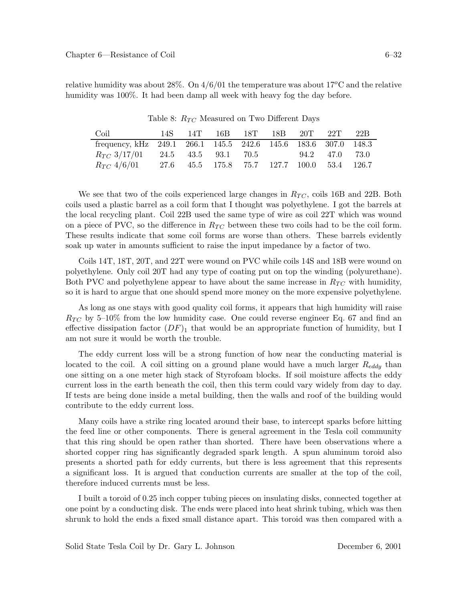Table 8:  $R_{TC}$  Measured on Two Different Days

| Coil                                                           |  | 14S 14T 16B 18T 18B 20T 22T                 |  |                | - 22B |
|----------------------------------------------------------------|--|---------------------------------------------|--|----------------|-------|
| frequency, kHz 249.1 266.1 145.5 242.6 145.6 183.6 307.0 148.3 |  |                                             |  |                |       |
| $R_{TC}$ 3/17/01 24.5 43.5 93.1 70.5                           |  |                                             |  | 94.2 47.0 73.0 |       |
| $R_{TC}$ 4/6/01                                                |  | 27.6 45.5 175.8 75.7 127.7 100.0 53.4 126.7 |  |                |       |

We see that two of the coils experienced large changes in  $R_{TC}$ , coils 16B and 22B. Both coils used a plastic barrel as a coil form that I thought was polyethylene. I got the barrels at the local recycling plant. Coil 22B used the same type of wire as coil 22T which was wound on a piece of PVC, so the difference in  $R_{TC}$  between these two coils had to be the coil form. These results indicate that some coil forms are worse than others. These barrels evidently soak up water in amounts sufficient to raise the input impedance by a factor of two.

Coils 14T, 18T, 20T, and 22T were wound on PVC while coils 14S and 18B were wound on polyethylene. Only coil 20T had any type of coating put on top the winding (polyurethane). Both PVC and polyethylene appear to have about the same increase in  $R_{TC}$  with humidity, so it is hard to argue that one should spend more money on the more expensive polyethylene.

As long as one stays with good quality coil forms, it appears that high humidity will raise  $R_{TC}$  by 5–10% from the low humidity case. One could reverse engineer Eq. 67 and find an effective dissipation factor  $(DF)_1$  that would be an appropriate function of humidity, but I am not sure it would be worth the trouble.

The eddy current loss will be a strong function of how near the conducting material is located to the coil. A coil sitting on a ground plane would have a much larger  $R_{eddy}$  than one sitting on a one meter high stack of Styrofoam blocks. If soil moisture affects the eddy current loss in the earth beneath the coil, then this term could vary widely from day to day. If tests are being done inside a metal building, then the walls and roof of the building would contribute to the eddy current loss.

Many coils have a strike ring located around their base, to intercept sparks before hitting the feed line or other components. There is general agreement in the Tesla coil community that this ring should be open rather than shorted. There have been observations where a shorted copper ring has significantly degraded spark length. A spun aluminum toroid also presents a shorted path for eddy currents, but there is less agreement that this represents a significant loss. It is argued that conduction currents are smaller at the top of the coil, therefore induced currents must be less.

I built a toroid of 0.25 inch copper tubing pieces on insulating disks, connected together at one point by a conducting disk. The ends were placed into heat shrink tubing, which was then shrunk to hold the ends a fixed small distance apart. This toroid was then compared with a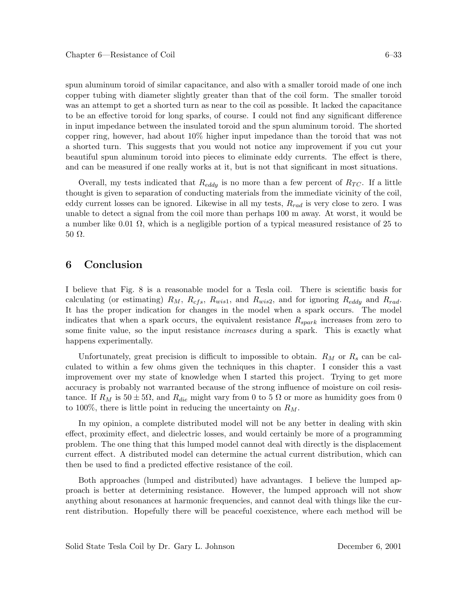spun aluminum toroid of similar capacitance, and also with a smaller toroid made of one inch copper tubing with diameter slightly greater than that of the coil form. The smaller toroid was an attempt to get a shorted turn as near to the coil as possible. It lacked the capacitance to be an effective toroid for long sparks, of course. I could not find any significant difference in input impedance between the insulated toroid and the spun aluminum toroid. The shorted copper ring, however, had about 10% higher input impedance than the toroid that was not a shorted turn. This suggests that you would not notice any improvement if you cut your beautiful spun aluminum toroid into pieces to eliminate eddy currents. The effect is there, and can be measured if one really works at it, but is not that significant in most situations.

Overall, my tests indicated that  $R_{eddy}$  is no more than a few percent of  $R_{TC}$ . If a little thought is given to separation of conducting materials from the immediate vicinity of the coil, eddy current losses can be ignored. Likewise in all my tests,  $R_{rad}$  is very close to zero. I was unable to detect a signal from the coil more than perhaps 100 m away. At worst, it would be a number like 0.01  $\Omega$ , which is a negligible portion of a typical measured resistance of 25 to 50 Ω.

# **6 Conclusion**

I believe that Fig. 8 is a reasonable model for a Tesla coil. There is scientific basis for calculating (or estimating)  $R_M$ ,  $R_{cfs}$ ,  $R_{wis1}$ , and  $R_{wis2}$ , and for ignoring  $R_{eddy}$  and  $R_{rad}$ . It has the proper indication for changes in the model when a spark occurs. The model indicates that when a spark occurs, the equivalent resistance  $R_{spark}$  increases from zero to some finite value, so the input resistance *increases* during a spark. This is exactly what happens experimentally.

Unfortunately, great precision is difficult to impossible to obtain.  $R_M$  or  $R_s$  can be calculated to within a few ohms given the techniques in this chapter. I consider this a vast improvement over my state of knowledge when I started this project. Trying to get more accuracy is probably not warranted because of the strong influence of moisture on coil resistance. If  $R_M$  is  $50 \pm 5\Omega$ , and  $R_{die}$  might vary from 0 to 5  $\Omega$  or more as humidity goes from 0 to 100%, there is little point in reducing the uncertainty on  $R_M$ .

In my opinion, a complete distributed model will not be any better in dealing with skin effect, proximity effect, and dielectric losses, and would certainly be more of a programming problem. The one thing that this lumped model cannot deal with directly is the displacement current effect. A distributed model can determine the actual current distribution, which can then be used to find a predicted effective resistance of the coil.

Both approaches (lumped and distributed) have advantages. I believe the lumped approach is better at determining resistance. However, the lumped approach will not show anything about resonances at harmonic frequencies, and cannot deal with things like the current distribution. Hopefully there will be peaceful coexistence, where each method will be